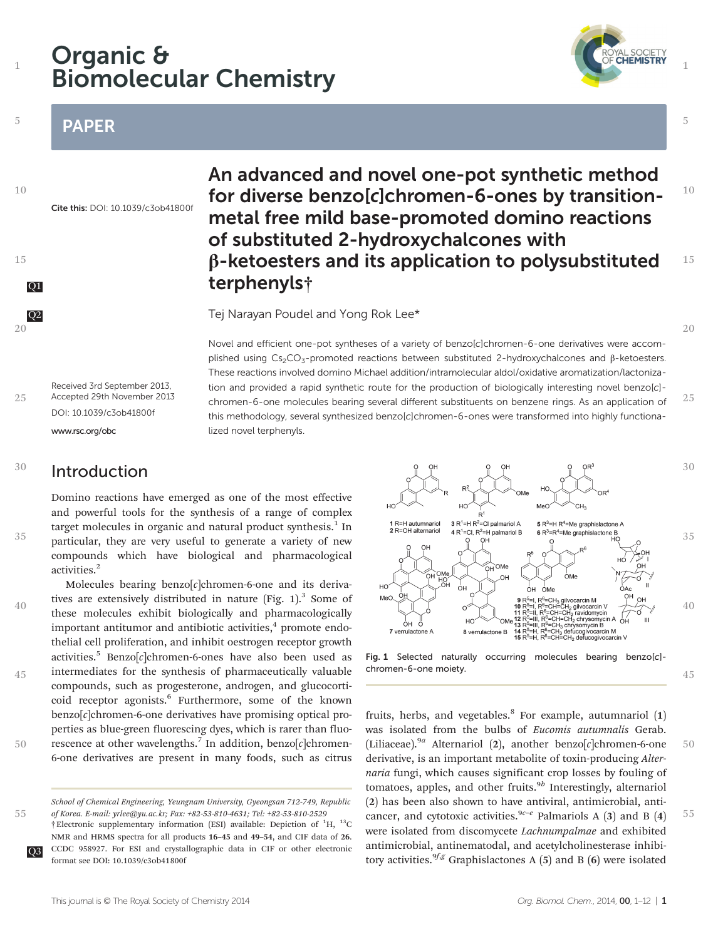# Organic & Biomolecular Chemistry

## PAPER

1

5

10

15

20

35

40

45

50

55



# An advanced and novel one-pot synthetic method for diverse benzo[c]chromen-6-ones by transitionmetal free mild base-promoted domino reactions of substituted 2-hydroxychalcones with β-ketoesters and its application to polysubstituted Q1 terphenyls†

**Q2** Tej Narayan Poudel and Yong Rok Lee\*

Novel and efficient one-pot syntheses of a variety of benzo[c]chromen-6-one derivatives were accomplished using Cs<sub>2</sub>CO<sub>3</sub>-promoted reactions between substituted 2-hydroxychalcones and β-ketoesters. These reactions involved domino Michael addition/intramolecular aldol/oxidative aromatization/lactonization and provided a rapid synthetic route for the production of biologically interesting novel benzo[c] chromen-6-one molecules bearing several different substituents on benzene rings. As an application of this methodology, several synthesized benzo[c]chromen-6-ones were transformed into highly functionalized novel terphenyls.

Received 3rd September 2013, Accepted 29th November 2013 DOI: 10.1039/c3ob41800f <www.rsc.org/obc> 25

### Introduction 30

Domino reactions have emerged as one of the most effective and powerful tools for the synthesis of a range of complex target molecules in organic and natural product synthesis. $<sup>1</sup>$  In</sup> particular, they are very useful to generate a variety of new compounds which have biological and pharmacological activities.<sup>2</sup>

Molecules bearing benzo $[c]$ chromen-6-one and its derivatives are extensively distributed in nature (Fig.  $1$ ).<sup>3</sup> Some of these molecules exhibit biologically and pharmacologically important antitumor and antibiotic activities, $4$  promote endothelial cell proliferation, and inhibit oestrogen receptor growth activities.<sup>5</sup> Benzo $[c]$ chromen-6-ones have also been used as intermediates for the synthesis of pharmaceutically valuable compounds, such as progesterone, androgen, and glucocorticoid receptor agonists.<sup>6</sup> Furthermore, some of the known  $benzo[c]$ chromen-6-one derivatives have promising optical properties as blue-green fluorescing dyes, which is rarer than fluorescence at other wavelengths.<sup>7</sup> In addition, benzo[c]chromen-6-one derivatives are present in many foods, such as citrus



Fig. 1 Selected naturally occurring molecules bearing benzo[c] chromen-6-one moiety.

fruits, herbs, and vegetables. $8$  For example, autumnariol  $(1)$ was isolated from the bulbs of Eucomis autumnalis Gerab. (Liliaceae).<sup>9a</sup> Alternariol (2), another benzo[c]chromen-6-one derivative, is an important metabolite of toxin-producing Alternaria fungi, which causes significant crop losses by fouling of tomatoes, apples, and other fruits. $9<sup>b</sup>$  Interestingly, alternariol (2) has been also shown to have antiviral, antimicrobial, anticancer, and cytotoxic activities.<sup>9c-e</sup> Palmariols A (3) and B (4) were isolated from discomycete Lachnumpalmae and exhibited antimicrobial, antinematodal, and acetylcholinesterase inhibitory activities.  $9^{f,g}$  Graphislactones A (5) and B (6) were isolated 50 55

20

25

1

5

10

15

<sup>†</sup>Electronic supplementary information (ESI) available: Depiction of <sup>1</sup>H, <sup>13</sup>C NMR and HRMS spectra for all products 16–45 and 49–54, and CIF data of 26. Q3 CCDC 958927. For ESI and crystallographic data in CIF or other electronic format see DOI: 10.1039/c3ob41800f School of Chemical Engineering, Yeungnam University, Gyeongsan 712-749, Republic of Korea. E-mail: yrlee@yu.ac.kr; Fax: +82-53-810-4631; Tel: +82-53-810-2529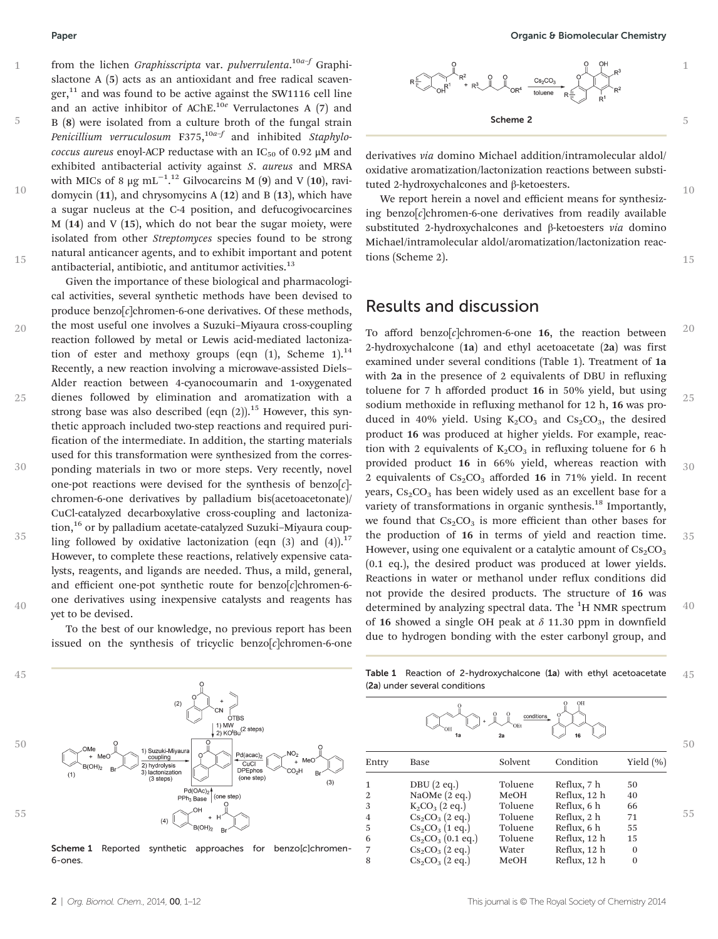5

10

15

20

25

35

40

from the lichen *Graphisscripta* var. *pulverrulenta.<sup>10a–f</sup> G*raphislactone A (5) acts as an antioxidant and free radical scavenger, $11$  and was found to be active against the SW1116 cell line and an active inhibitor of AChE.<sup>10e</sup> Verrulactones A (7) and B (8) were isolated from a culture broth of the fungal strain Penicillium verruculosum  $F375$ ,  $^{10a-f}$  and inhibited Staphylococcus aureus enoyl-ACP reductase with an  $IC_{50}$  of 0.92  $\mu$ M and exhibited antibacterial activity against S. aureus and MRSA with MICs of 8 µg mL<sup>-1,12</sup> Gilvocarcins M (9) and V (10), ravidomycin (11), and chrysomycins A (12) and B (13), which have a sugar nucleus at the C-4 position, and defucogivocarcines M (14) and V (15), which do not bear the sugar moiety, were isolated from other Streptomyces species found to be strong natural anticancer agents, and to exhibit important and potent antibacterial, antibiotic, and antitumor activities.<sup>13</sup>

Given the importance of these biological and pharmacological activities, several synthetic methods have been devised to produce benzo[c]chromen-6-one derivatives. Of these methods, the most useful one involves a Suzuki–Miyaura cross-coupling reaction followed by metal or Lewis acid-mediated lactonization of ester and methoxy groups (eqn  $(1)$ , Scheme 1).<sup>14</sup> Recently, a new reaction involving a microwave-assisted Diels– Alder reaction between 4-cyanocoumarin and 1-oxygenated dienes followed by elimination and aromatization with a strong base was also described (eqn  $(2)$ ).<sup>15</sup> However, this synthetic approach included two-step reactions and required purification of the intermediate. In addition, the starting materials used for this transformation were synthesized from the corresponding materials in two or more steps. Very recently, novel one-pot reactions were devised for the synthesis of benzo $[c]$ chromen-6-one derivatives by palladium bis(acetoacetonate)/ CuCl-catalyzed decarboxylative cross-coupling and lactonization,<sup>16</sup> or by palladium acetate-catalyzed Suzuki-Miyaura coupling followed by oxidative lactonization (eqn (3) and (4)).<sup>17</sup> However, to complete these reactions, relatively expensive catalysts, reagents, and ligands are needed. Thus, a mild, general, and efficient one-pot synthetic route for benzo[c]chromen-6one derivatives using inexpensive catalysts and reagents has yet to be devised. 30

> To the best of our knowledge, no previous report has been issued on the synthesis of tricyclic benzo $[c]$ chromen-6-one

10

15



derivatives via domino Michael addition/intramolecular aldol/ oxidative aromatization/lactonization reactions between substituted 2-hydroxychalcones and β-ketoesters.

We report herein a novel and efficient means for synthesizing benzo[c]chromen-6-one derivatives from readily available substituted 2-hydroxychalcones and β-ketoesters via domino Michael/intramolecular aldol/aromatization/lactonization reactions (Scheme 2).

## Results and discussion

To afford benzo $[c]$ chromen-6-one 16, the reaction between 2-hydroxychalcone (1a) and ethyl acetoacetate (2a) was first examined under several conditions (Table 1). Treatment of 1a with 2a in the presence of 2 equivalents of DBU in refluxing toluene for 7 h afforded product 16 in 50% yield, but using sodium methoxide in refluxing methanol for 12 h, 16 was produced in 40% yield. Using  $K_2CO_3$  and  $Cs_2CO_3$ , the desired product 16 was produced at higher yields. For example, reaction with 2 equivalents of  $K_2CO_3$  in refluxing toluene for 6 h provided product 16 in 66% yield, whereas reaction with 2 equivalents of  $Cs_2CO_3$  afforded 16 in 71% yield. In recent years,  $Cs_2CO_3$  has been widely used as an excellent base for a variety of transformations in organic synthesis.<sup>18</sup> Importantly, we found that  $Cs_2CO_3$  is more efficient than other bases for the production of 16 in terms of yield and reaction time. However, using one equivalent or a catalytic amount of  $Cs<sub>2</sub>CO<sub>3</sub>$ (0.1 eq.), the desired product was produced at lower yields. Reactions in water or methanol under reflux conditions did not provide the desired products. The structure of 16 was determined by analyzing spectral data. The <sup>1</sup>H NMR spectrum of 16 showed a single OH peak at  $\delta$  11.30 ppm in downfield due to hydrogen bonding with the ester carbonyl group, and 20 25 30 35 40



Scheme 1 Reported synthetic approaches for benzo[c]chromen-6-ones.

Table 1 Reaction of 2-hydroxychalcone (1a) with ethyl acetoacetate (2a) under several conditions 45

|       |                         | 50      |              |           |    |
|-------|-------------------------|---------|--------------|-----------|----|
| Entry | Base                    | Solvent | Condition    | Yield (%) |    |
| 1     | $DBU(2 \text{ eq.})$    | Toluene | Reflux, 7 h  | 50        |    |
| 2     | NaOMe $(2 \text{ eq.})$ | MeOH    | Reflux, 12 h | 40        |    |
| 3     | $K_2CO_3$ (2 eq.)       | Toluene | Reflux, 6 h  | 66        |    |
| 4     | $Cs_2CO_3$ (2 eq.)      | Toluene | Reflux, 2 h  | 71        | 55 |
| 5     | $Cs_2CO_3$ (1 eq.)      | Toluene | Reflux, 6 h  | 55        |    |
| 6     | $Cs_2CO_3$ (0.1 eq.)    | Toluene | Reflux, 12 h | 15        |    |
| 7     | $Cs_2CO_3$ (2 eq.)      | Water   | Reflux, 12 h | $\Omega$  |    |
| 8     | $Cs_2CO_3$ (2 eq.)      | MeOH    | Reflux, 12 h | $\Omega$  |    |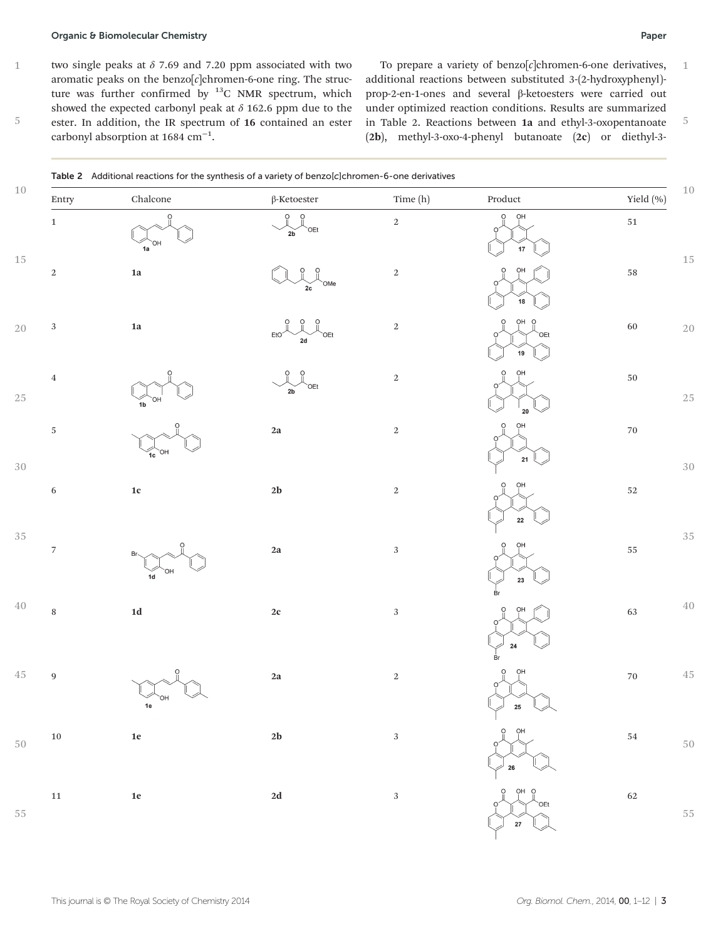### Organic & Biomolecular Chemistry Paper

two single peaks at  $\delta$  7.69 and 7.20 ppm associated with two aromatic peaks on the benzo $[c]$ chromen-6-one ring. The structure was further confirmed by  $^{13}$ C NMR spectrum, which showed the expected carbonyl peak at  $\delta$  162.6 ppm due to the ester. In addition, the IR spectrum of 16 contained an ester carbonyl absorption at 1684 cm−<sup>1</sup> .

To prepare a variety of benzo $[c]$ chromen-6-one derivatives, additional reactions between substituted 3-(2-hydroxyphenyl) prop-2-en-1-ones and several β-ketoesters were carried out under optimized reaction conditions. Results are summarized in Table 2. Reactions between 1a and ethyl-3-oxopentanoate (2b), methyl-3-oxo-4-phenyl butanoate (2c) or diethyl-3- 

| Entry                    | ${\it Chalcone}$      | $\beta$ -Ketoester                                               | Time (h)   | $\bf Product$                        | Yield (%)   |
|--------------------------|-----------------------|------------------------------------------------------------------|------------|--------------------------------------|-------------|
| $\,1\,$                  | $\circ$<br>OН<br>$1a$ | 0 <sub>0</sub><br>`OEt<br>2b                                     | $\,2$      | OH<br>$\ddot{\mathrm{o}}$<br>Ω<br>17 | $51\,$      |
| $\,2$                    | ${\bf 1a}$            | Ö<br>$\circ$<br>`OMe<br>2c                                       | $\,2$      | OH<br>18                             | $58\,$      |
| $\sqrt{3}$               | $1\mathrm{a}$         | $\ddot{\mathrm{o}}$<br>$\circ$<br>EtO <sup>2</sup><br>`OEt<br>2d | $\,2$      | OH O<br>O<br>`OEt<br>19              | $60\,$      |
| $\,4$                    | OН<br>1 <sub>b</sub>  | $\circ$<br>$\Omega$<br>`OEt<br>2b                                | $\,2$      | OH<br>20                             | $50\,$      |
| $\sqrt{5}$               | OH<br>1c              | $2\mathrm{a}$                                                    | $\,2$      | OH<br>$\mathbf{21}$                  | $70\,$      |
| $\,$ 6 $\,$              | $1\mathrm{c}$         | $2\mathbf{b}$                                                    | $\,2$      | OН                                   | $52\,$      |
| $\overline{\phantom{a}}$ | Br-<br>HO.<br>1d      | $2\mathrm{a}$                                                    | $\sqrt{3}$ | ${\bf 22}$<br>OH<br>23               | $55\,$      |
| $\, 8$                   | $1\mathrm{d}$         | $2\mathbf{c}$                                                    | $\sqrt{3}$ | Ŕı<br>OH                             | $\sqrt{63}$ |
| $\boldsymbol{9}$         | ∩⊦<br>$1e$            | $2\mathrm{a}$                                                    | $\,2$      | ${\bf 24}$<br>вr<br>OH<br>O<br>25    | $70\,$      |
| $10\,$                   | $1\mathrm{e}$         | $2\mathbf{b}$                                                    | $\sqrt{3}$ |                                      | $54\,$      |
| $11\,$                   | $1\mathrm{e}$         | $2\mathbf{d}$                                                    | $\sqrt{3}$ | $\gg$ 26<br>OH O<br>O<br>`OEt        | $62\,$      |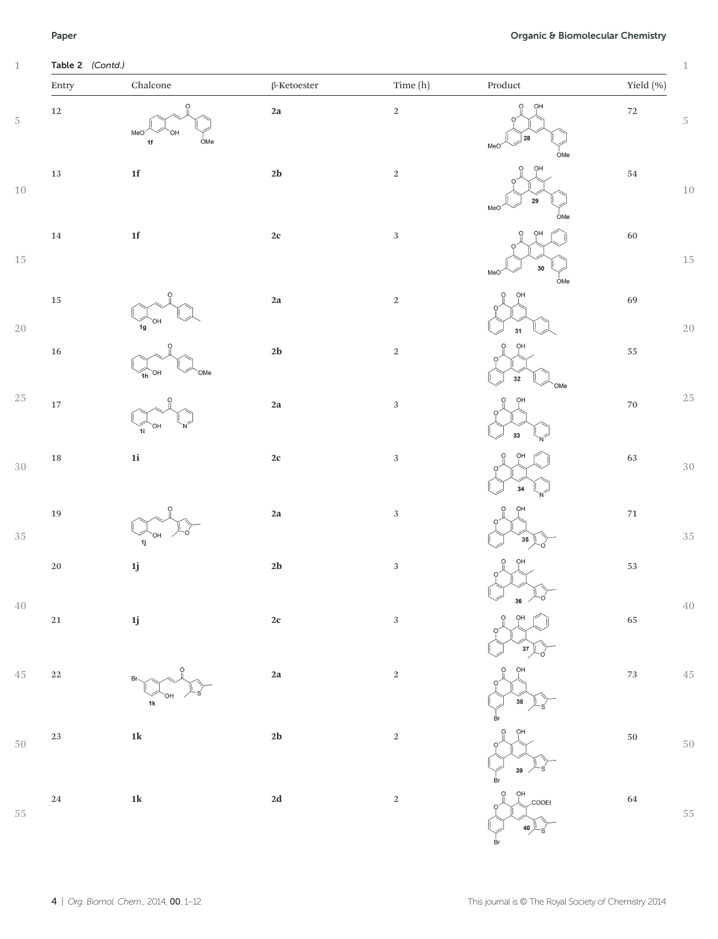## Paper **Paper** Chemistry **Paper** Chemistry **Chemistry Organic & Biomolecular Chemistry**

| Entry       | ${\it Chalcone}$                                          | $\beta$ -Ketoester | Time (h)   | $\bf Product$                                                    | Yield (%)          |
|-------------|-----------------------------------------------------------|--------------------|------------|------------------------------------------------------------------|--------------------|
| $12\,$      | $\circ$<br>MeO <sup>2</sup><br>OH<br>OMe<br>$1\mathsf{f}$ | $2\mathrm{a}$      | $\,2$      | OH<br>$\circ$<br>28<br>MeO<br>$\frac{1}{2}$ OMe                  | $\scriptstyle{72}$ |
| $13\,$      | ${\bf 1f}$                                                | $2\mathbf{b}$      | $\,2$      | OH<br>O<br>${\bf 29}$<br>MeO<br>$_{\text{OMe}}$                  | $54\,$             |
| $14\,$      | ${\bf 1f}$                                                | $2\mathbf{c}$      | $\sqrt{3}$ | OH<br>$30\,$<br>MeO                                              | 60                 |
| $15\,$      | $\Omega$<br>1 <sub>g</sub>                                | $2\mathbf{a}$      | $\,2$      | $\frac{1}{2}$ OMe<br>OH<br>31                                    | 69                 |
| 16          | $\circ$<br>OH<br>OMe<br>1h                                | $2\mathbf{b}$      | $\,2$      | OH<br>${\bf 32}$<br>`OMe                                         | $55\,$             |
| $17\,$      | 1i                                                        | $2\mathrm{a}$      | $\sqrt{3}$ | OH<br>33                                                         | $70\,$             |
| 18          | $1\mathrm{i}$                                             | $2\mathbf{c}$      | $\sqrt{3}$ | OH<br>34                                                         | 63                 |
| 19          | 1j                                                        | $2\mathbf{a}$      | $\sqrt{3}$ | ΟН<br>$\left( \frac{35}{2} \right)$<br>۰ó                        | $71\,$             |
| $20\,$      | $1\mathrm{j}$                                             | $2\mathbf{b}$      | $\sqrt{3}$ | OН                                                               | $53\,$             |
| $21\,$      | $1\mathrm{j}$                                             | $2\mathrm{c}$      | $\sqrt{3}$ | 30<br>OH<br>$\left(37\right)$                                    | 65                 |
| $22\,$      | Br<br>$1\mathrm{k}$                                       | $2\mathbf{a}$      | $\,2$      | OH<br>38                                                         | $\mathbf{73}$      |
| $23\,$      | $1\mathrm{k}$                                             | $2\mathbf{b}$      | $\,2$      | вŗ<br>OH<br>39/                                                  | $50\,$             |
| $\sqrt{24}$ | $1\mathrm{k}$                                             | $2\mathbf{d}$      | $\,2$      | $\frac{1}{\mathsf{B}}$ r<br>$\frac{0}{\pi}$<br>OH<br>COOEt<br>O. | 64                 |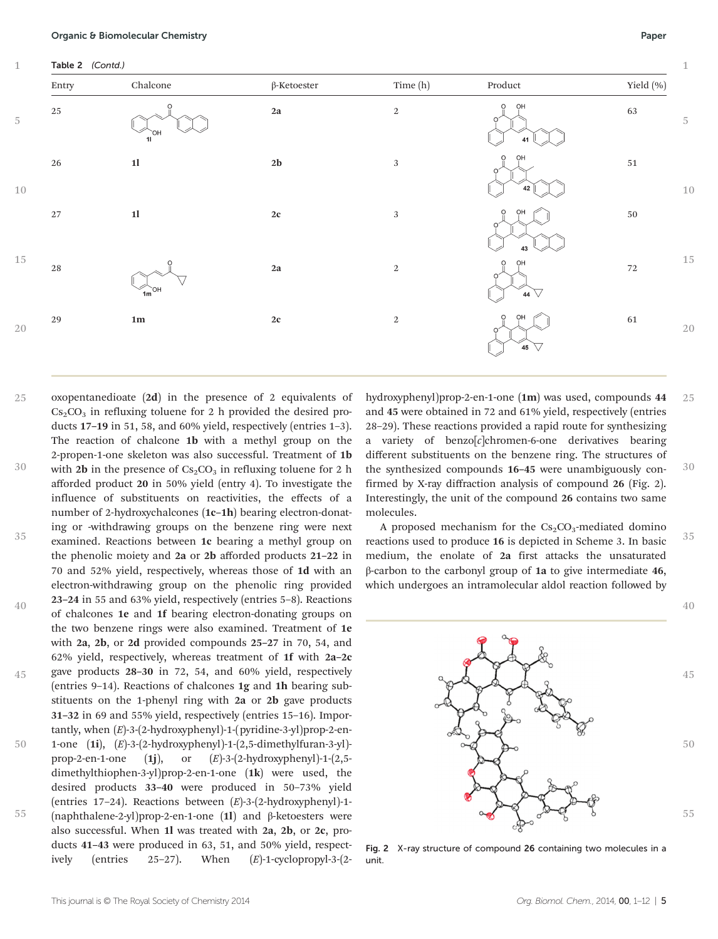| Entry    | ${\it Chalcone}$             | $\beta$ -Ketoester | Time (h)   | $\bf Product$                | Yield (%) |
|----------|------------------------------|--------------------|------------|------------------------------|-----------|
| $25\,$   | $\circ$<br>`OH<br>11         | $2\mathbf{a}$      | $\,2$      | OH<br>$\circ$<br>41          | 63        |
| $26\,$   | $1\mathbf{l}$                | $2\mathbf{b}$      | $\sqrt{3}$ | OH<br>$\circ$<br>42          | $51\,$    |
| $27\,$   | $1\mathbf{l}$                | $2\mathbf{c}$      | $\sqrt{3}$ | OH<br>$\circ$<br>43          | $50\,$    |
| $\rm 28$ | $\Omega$<br>$\widehat{m}$ OH | $2\mathbf{a}$      | $\,2$      | OH<br>$\circ$<br>44 $\nabla$ | $72\,$    |
| 29       | $1\mathrm{m}$                | $2\mathbf{c}$      | $\,2$      | OH<br>O<br>45 $\nabla$       | $61\,$    |

oxopentanedioate (2d) in the presence of 2 equivalents of  $Cs<sub>2</sub>CO<sub>3</sub>$  in refluxing toluene for 2 h provided the desired products 17–19 in 51, 58, and 60% yield, respectively (entries 1–3). The reaction of chalcone 1b with a methyl group on the 2-propen-1-one skeleton was also successful. Treatment of 1b with 2b in the presence of  $Cs_2CO_3$  in refluxing toluene for 2 h afforded product 20 in 50% yield (entry 4). To investigate the influence of substituents on reactivities, the effects of a number of 2-hydroxychalcones (1c–1h) bearing electron-donating or -withdrawing groups on the benzene ring were next examined. Reactions between 1c bearing a methyl group on the phenolic moiety and 2a or 2b afforded products 21–22 in 70 and 52% yield, respectively, whereas those of 1d with an electron-withdrawing group on the phenolic ring provided 23–24 in 55 and 63% yield, respectively (entries 5–8). Reactions of chalcones 1e and 1f bearing electron-donating groups on the two benzene rings were also examined. Treatment of 1e with 2a, 2b, or 2d provided compounds 25–27 in 70, 54, and 62% yield, respectively, whereas treatment of 1f with 2a–2c gave products 28–30 in 72, 54, and 60% yield, respectively (entries 9–14). Reactions of chalcones 1g and 1h bearing substituents on the 1-phenyl ring with 2a or 2b gave products 31–32 in 69 and 55% yield, respectively (entries 15–16). Importantly, when  $(E)$ -3- $(2-hydroxyphenyl)$ -1- $(pyridine-3-yl)prop-2-en-$ 1-one (1i), (E)-3-(2-hydroxyphenyl)-1-(2,5-dimethylfuran-3-yl) prop-2-en-1-one (1j), or  $(E)$ -3-(2-hydroxyphenyl)-1-(2,5dimethylthiophen-3-yl)prop-2-en-1-one (1k) were used, the desired products 33–40 were produced in 50–73% yield (entries 17–24). Reactions between (E)-3-(2-hydroxyphenyl)-1- (naphthalene-2-yl)prop-2-en-1-one (1l) and β-ketoesters were also successful. When 1l was treated with 2a, 2b, or 2c, products 41–43 were produced in 63, 51, and 50% yield, respectively (entries 25–27). When (E)-1-cyclopropyl-3-(2- 25 30 35 40 45 50 55

hydroxyphenyl)prop-2-en-1-one (1m) was used, compounds 44 and 45 were obtained in 72 and 61% yield, respectively (entries 28–29). These reactions provided a rapid route for synthesizing a variety of  $benzo[c]$ chromen-6-one derivatives bearing different substituents on the benzene ring. The structures of the synthesized compounds 16–45 were unambiguously confirmed by X-ray diffraction analysis of compound 26 (Fig. 2). Interestingly, the unit of the compound 26 contains two same molecules. 25 30

A proposed mechanism for the  $Cs_2CO_3$ -mediated domino reactions used to produce 16 is depicted in Scheme 3. In basic medium, the enolate of 2a first attacks the unsaturated β-carbon to the carbonyl group of 1a to give intermediate 46, which undergoes an intramolecular aldol reaction followed by 35

Fig. 2 X-ray structure of compound 26 containing two molecules in a unit.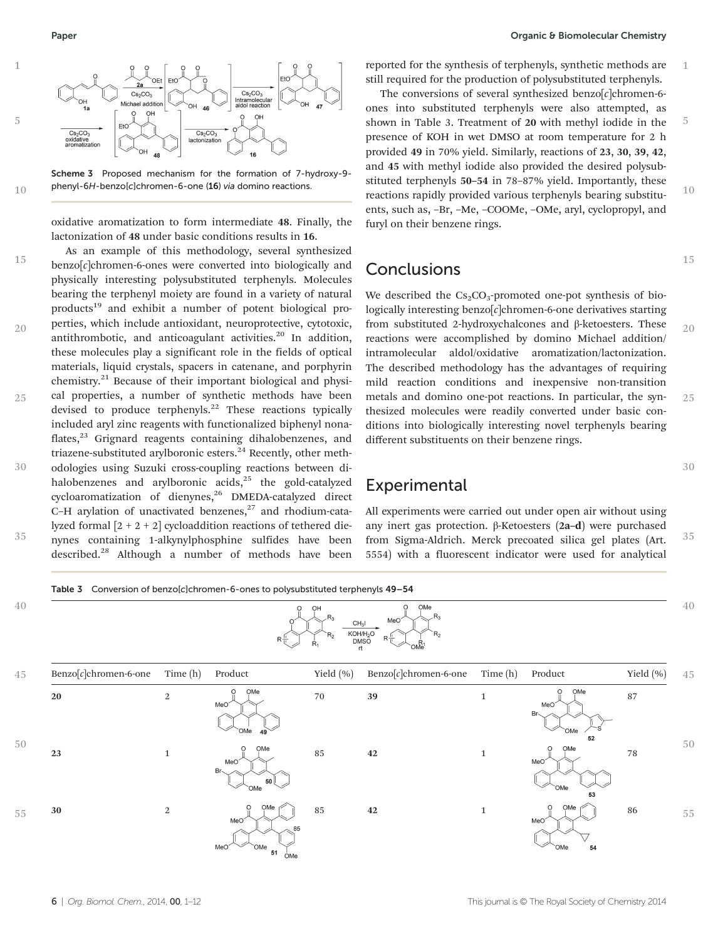



oxidative aromatization to form intermediate 48. Finally, the lactonization of 48 under basic conditions results in 16.

As an example of this methodology, several synthesized benzo[c]chromen-6-ones were converted into biologically and physically interesting polysubstituted terphenyls. Molecules bearing the terphenyl moiety are found in a variety of natural products<sup>19</sup> and exhibit a number of potent biological properties, which include antioxidant, neuroprotective, cytotoxic, antithrombotic, and anticoagulant activities. $20$  In addition, these molecules play a significant role in the fields of optical materials, liquid crystals, spacers in catenane, and porphyrin chemistry.<sup>21</sup> Because of their important biological and physical properties, a number of synthetic methods have been devised to produce terphenyls.<sup>22</sup> These reactions typically included aryl zinc reagents with functionalized biphenyl nonaflates,<sup>23</sup> Grignard reagents containing dihalobenzenes, and triazene-substituted arylboronic esters.<sup>24</sup> Recently, other methodologies using Suzuki cross-coupling reactions between dihalobenzenes and arylboronic acids,<sup>25</sup> the gold-catalyzed cycloaromatization of dienynes,<sup>26</sup> DMEDA-catalyzed direct C–H arylation of unactivated benzenes, $27$  and rhodium-catalyzed formal  $[2 + 2 + 2]$  cycloaddition reactions of tethered dienynes containing 1-alkynylphosphine sulfides have been described.<sup>28</sup> Although a number of methods have been 15 20 25 30 35

reported for the synthesis of terphenyls, synthetic methods are still required for the production of polysubstituted terphenyls.

The conversions of several synthesized benzo $[c]$ chromen-6ones into substituted terphenyls were also attempted, as shown in Table 3. Treatment of 20 with methyl iodide in the presence of KOH in wet DMSO at room temperature for 2 h provided 49 in 70% yield. Similarly, reactions of 23, 30, 39, 42, and 45 with methyl iodide also provided the desired polysubstituted terphenyls 50–54 in 78–87% yield. Importantly, these reactions rapidly provided various terphenyls bearing substituents, such as, –Br, –Me, –COOMe, –OMe, aryl, cyclopropyl, and furyl on their benzene rings. 5  $10$ 

## Conclusions

We described the  $Cs_2CO_3$ -promoted one-pot synthesis of biologically interesting benzo[c]chromen-6-one derivatives starting from substituted 2-hydroxychalcones and β-ketoesters. These reactions were accomplished by domino Michael addition/ intramolecular aldol/oxidative aromatization/lactonization. The described methodology has the advantages of requiring mild reaction conditions and inexpensive non-transition metals and domino one-pot reactions. In particular, the synthesized molecules were readily converted under basic conditions into biologically interesting novel terphenyls bearing different substituents on their benzene rings. 20 25

## Experimental

All experiments were carried out under open air without using any inert gas protection. β-Ketoesters (2a–d) were purchased from Sigma-Aldrich. Merck precoated silica gel plates (Art. 5554) with a fluorescent indicator were used for analytical 35

30

1

15

Table 3 Conversion of benzolc1chromen-6-ones to polysubstituted terphenyls 49–54 40 40 CHal  $KOH/H<sub>2</sub>O$ DMSC 45 Benzo[c]chromen-6-one Time (h) Product Yield (%) Benzo[c]chromen-6-one Time (h) Product Yield (%) 45  $20$  2  $1$   $1$   $1$   $1$ OMe 50 50 23 1  $\frac{1}{2}$  85 42 1  $\frac{1}{2}$  78 30 2 2  $\begin{array}{|c|c|c|c|c|c|c|c|} \hline \multicolumn{1}{|c|}{30} & 2 & \multicolumn{1}{|c|}{85} & 85 & 42 & 1 & \multicolumn{1}{|c|}{9} & \multicolumn{1}{|c|}{86} \ \hline \end{array}$ 55 55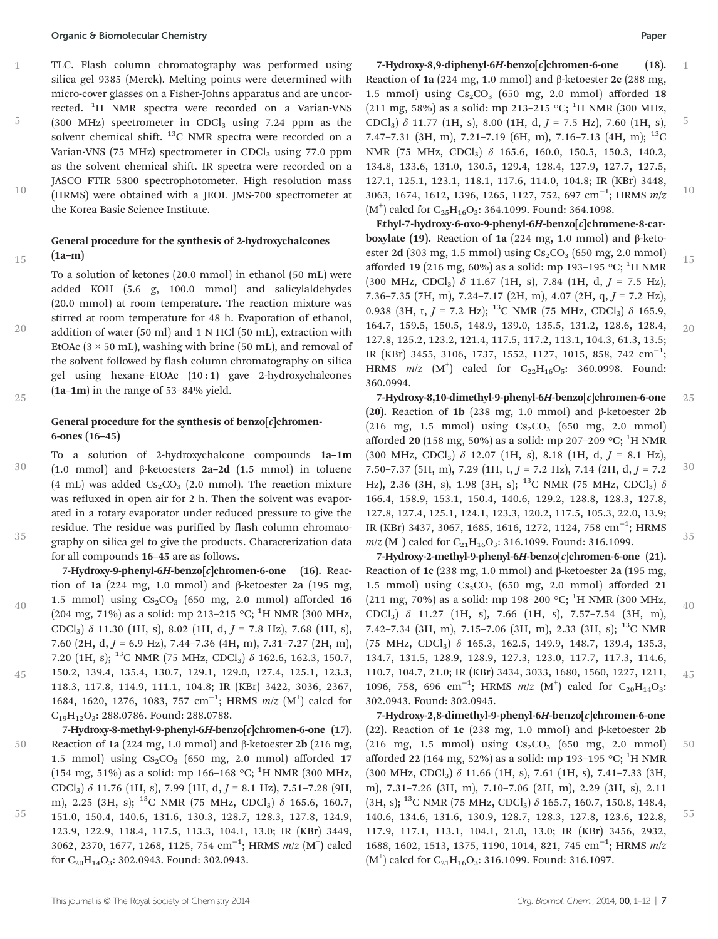### Organic & Biomolecular Chemistry Paper

15

20

25

40

45

TLC. Flash column chromatography was performed using silica gel 9385 (Merck). Melting points were determined with micro-cover glasses on a Fisher-Johns apparatus and are uncorrected. <sup>1</sup>H NMR spectra were recorded on a Varian-VNS  $(300 \text{ MHz})$  spectrometer in CDCl<sub>3</sub> using 7.24 ppm as the solvent chemical shift.  $^{13}$ C NMR spectra were recorded on a Varian-VNS (75 MHz) spectrometer in  $CDCl<sub>3</sub>$  using 77.0 ppm as the solvent chemical shift. IR spectra were recorded on a JASCO FTIR 5300 spectrophotometer. High resolution mass (HRMS) were obtained with a JEOL JMS-700 spectrometer at the Korea Basic Science Institute. 1 5 10

### General procedure for the synthesis of 2-hydroxychalcones (1a–m)

To a solution of ketones (20.0 mmol) in ethanol (50 mL) were added KOH (5.6 g, 100.0 mmol) and salicylaldehydes (20.0 mmol) at room temperature. The reaction mixture was stirred at room temperature for 48 h. Evaporation of ethanol, addition of water (50 ml) and 1 N HCl (50 mL), extraction with EtOAc  $(3 \times 50$  mL), washing with brine (50 mL), and removal of the solvent followed by flash column chromatography on silica gel using hexane–EtOAc (10 : 1) gave 2-hydroxychalcones (1a–1m) in the range of 53–84% yield.

## General procedure for the synthesis of benzo $[c]$ chromen-6-ones (16–45)

To a solution of 2-hydroxychalcone compounds 1a–1m (1.0 mmol) and β-ketoesters 2a–2d (1.5 mmol) in toluene (4 mL) was added  $Cs_2CO_3$  (2.0 mmol). The reaction mixture was refluxed in open air for 2 h. Then the solvent was evaporated in a rotary evaporator under reduced pressure to give the residue. The residue was purified by flash column chromatography on silica gel to give the products. Characterization data for all compounds 16–45 are as follows. 30 35

7-Hydroxy-9-phenyl-6H-benzo $[c]$ chromen-6-one (16). Reaction of 1a (224 mg, 1.0 mmol) and β-ketoester 2a (195 mg, 1.5 mmol) using  $Cs_2CO_3$  (650 mg, 2.0 mmol) afforded 16 (204 mg, 71%) as a solid: mp 213-215 °C; <sup>1</sup>H NMR (300 MHz, CDCl<sub>3</sub>)  $\delta$  11.30 (1H, s), 8.02 (1H, d, J = 7.8 Hz), 7.68 (1H, s), 7.60 (2H, d,  $J = 6.9$  Hz), 7.44–7.36 (4H, m), 7.31–7.27 (2H, m), 7.20 (1H, s); <sup>13</sup>C NMR (75 MHz, CDCl<sub>3</sub>)  $\delta$  162.6, 162.3, 150.7, 150.2, 139.4, 135.4, 130.7, 129.1, 129.0, 127.4, 125.1, 123.3, 118.3, 117.8, 114.9, 111.1, 104.8; IR (KBr) 3422, 3036, 2367, 1684, 1620, 1276, 1083, 757 cm<sup>-1</sup>; HRMS m/z (M<sup>+</sup>) calcd for  $C_{19}H_{12}O_3$ : 288.0786. Found: 288.0788.

7-Hydroxy-8-methyl-9-phenyl-6H-benzo[c]chromen-6-one (17). Reaction of 1a (224 mg, 1.0 mmol) and β-ketoester 2b (216 mg, 1.5 mmol) using  $Cs_2CO_3$  (650 mg, 2.0 mmol) afforded 17 (154 mg, 51%) as a solid: mp 166-168 °C; <sup>1</sup>H NMR (300 MHz, CDCl<sub>3</sub>)  $\delta$  11.76 (1H, s), 7.99 (1H, d,  $J = 8.1$  Hz), 7.51-7.28 (9H, m), 2.25 (3H, s); <sup>13</sup>C NMR (75 MHz, CDCl<sub>3</sub>)  $\delta$  165.6, 160.7, 151.0, 150.4, 140.6, 131.6, 130.3, 128.7, 128.3, 127.8, 124.9, 50 55

123.9, 122.9, 118.4, 117.5, 113.3, 104.1, 13.0; IR (KBr) 3449, 3062, 2370, 1677, 1268, 1125, 754 cm<sup>-1</sup>; HRMS m/z (M<sup>+</sup>) calcd for C<sub>20</sub>H<sub>14</sub>O<sub>3</sub>: 302.0943. Found: 302.0943.

7-Hydroxy-8,9-diphenyl-6H-benzo $[c]$ chromen-6-one (18). Reaction of 1a (224 mg, 1.0 mmol) and β-ketoester 2c (288 mg, 1.5 mmol) using  $Cs_2CO_3$  (650 mg, 2.0 mmol) afforded 18 (211 mg, 58%) as a solid: mp 213-215 °C; <sup>1</sup>H NMR (300 MHz, CDCl<sub>3</sub>)  $\delta$  11.77 (1H, s), 8.00 (1H, d,  $J = 7.5$  Hz), 7.60 (1H, s), 7.47–7.31 (3H, m), 7.21–7.19 (6H, m), 7.16–7.13 (4H, m);  $^{13}$ C NMR (75 MHz, CDCl<sub>3</sub>) δ 165.6, 160.0, 150.5, 150.3, 140.2, 134.8, 133.6, 131.0, 130.5, 129.4, 128.4, 127.9, 127.7, 127.5, 127.1, 125.1, 123.1, 118.1, 117.6, 114.0, 104.8; IR (KBr) 3448, 3063, 1674, 1612, 1396, 1265, 1127, 752, 697 cm<sup>-1</sup>; HRMS m/z  $(M<sup>+</sup>)$  calcd for C<sub>25</sub>H<sub>16</sub>O<sub>3</sub>: 364.1099. Found: 364.1098. 1 5 10

Ethyl-7-hydroxy-6-oxo-9-phenyl-6H-benzo[c]chromene-8-carboxylate (19). Reaction of 1a (224 mg, 1.0 mmol) and β-ketoester 2d (303 mg, 1.5 mmol) using  $Cs_2CO_3$  (650 mg, 2.0 mmol) afforded 19 (216 mg, 60%) as a solid: mp 193-195 °C; <sup>1</sup>H NMR (300 MHz, CDCl<sub>3</sub>)  $\delta$  11.67 (1H, s), 7.84 (1H, d,  $J = 7.5$  Hz), 7.36–7.35 (7H, m), 7.24–7.17 (2H, m), 4.07 (2H, q,  $J = 7.2$  Hz), 0.938 (3H, t,  $J = 7.2$  Hz); <sup>13</sup>C NMR (75 MHz, CDCl<sub>3</sub>)  $\delta$  165.9, 164.7, 159.5, 150.5, 148.9, 139.0, 135.5, 131.2, 128.6, 128.4, 127.8, 125.2, 123.2, 121.4, 117.5, 117.2, 113.1, 104.3, 61.3, 13.5; IR (KBr) 3455, 3106, 1737, 1552, 1127, 1015, 858, 742 cm<sup>-1</sup>; HRMS  $m/z$  (M<sup>+</sup>) calcd for C<sub>22</sub>H<sub>16</sub>O<sub>5</sub>: 360.0998. Found: 360.0994. 15 20

7-Hydroxy-8,10-dimethyl-9-phenyl-6H-benzo[c]chromen-6-one (20). Reaction of 1b (238 mg, 1.0 mmol) and β-ketoester 2b  $(216 \text{ mg}, 1.5 \text{ mmol})$  using  $Cs_2CO_3$  (650 mg, 2.0 mmol) afforded 20 (158 mg, 50%) as a solid: mp 207-209 °C; <sup>1</sup>H NMR (300 MHz, CDCl<sub>3</sub>)  $\delta$  12.07 (1H, s), 8.18 (1H, d,  $J = 8.1$  Hz), 7.50–7.37 (5H, m), 7.29 (1H, t,  $J = 7.2$  Hz), 7.14 (2H, d,  $J = 7.2$ Hz), 2.36 (3H, s), 1.98 (3H, s); <sup>13</sup>C NMR (75 MHz, CDCl<sub>3</sub>)  $\delta$ 166.4, 158.9, 153.1, 150.4, 140.6, 129.2, 128.8, 128.3, 127.8, 127.8, 127.4, 125.1, 124.1, 123.3, 120.2, 117.5, 105.3, 22.0, 13.9; IR (KBr) 3437, 3067, 1685, 1616, 1272, 1124, 758 cm<sup>-1</sup>; HRMS  $m/z$  (M<sup>+</sup>) calcd for C<sub>21</sub>H<sub>16</sub>O<sub>3</sub>: 316.1099. Found: 316.1099. 25 30 35

7-Hydroxy-2-methyl-9-phenyl-6H-benzo[c]chromen-6-one (21). Reaction of 1c (238 mg, 1.0 mmol) and β-ketoester 2a (195 mg, 1.5 mmol) using  $Cs_2CO_3$  (650 mg, 2.0 mmol) afforded 21 (211 mg, 70%) as a solid: mp 198-200 °C; <sup>1</sup>H NMR (300 MHz, CDCl3) δ 11.27 (1H, s), 7.66 (1H, s), 7.57–7.54 (3H, m), 7.42–7.34 (3H, m), 7.15–7.06 (3H, m), 2.33 (3H, s); <sup>13</sup>C NMR (75 MHz, CDCl3) δ 165.3, 162.5, 149.9, 148.7, 139.4, 135.3, 134.7, 131.5, 128.9, 128.9, 127.3, 123.0, 117.7, 117.3, 114.6, 110.7, 104.7, 21.0; IR (KBr) 3434, 3033, 1680, 1560, 1227, 1211, 1096, 758, 696 cm<sup>-1</sup>; HRMS  $m/z$  (M<sup>+</sup>) calcd for C<sub>20</sub>H<sub>14</sub>O<sub>3</sub>: 302.0943. Found: 302.0945. 40 45

7-Hydroxy-2,8-dimethyl-9-phenyl-6H-benzo[c]chromen-6-one (22). Reaction of 1c (238 mg, 1.0 mmol) and β-ketoester 2b  $(216 \text{ mg}, 1.5 \text{ mmol})$  using  $Cs_2CO_3$  (650 mg, 2.0 mmol) afforded 22 (164 mg, 52%) as a solid: mp 193-195 °C;  $^{1}$ H NMR  $(300 \text{ MHz}, \text{CDCl}_3)$   $\delta$  11.66 (1H, s), 7.61 (1H, s), 7.41-7.33 (3H, m), 7.31–7.26 (3H, m), 7.10–7.06 (2H, m), 2.29 (3H, s), 2.11  $(3H, s);$  <sup>13</sup>C NMR (75 MHz, CDCl<sub>3</sub>)  $\delta$  165.7, 160.7, 150.8, 148.4, 140.6, 134.6, 131.6, 130.9, 128.7, 128.3, 127.8, 123.6, 122.8, 117.9, 117.1, 113.1, 104.1, 21.0, 13.0; IR (KBr) 3456, 2932, 1688, 1602, 1513, 1375, 1190, 1014, 821, 745 cm<sup>-1</sup>; HRMS m/z  $(M<sup>+</sup>)$  calcd for C<sub>21</sub>H<sub>16</sub>O<sub>3</sub>: 316.1099. Found: 316.1097. 50 55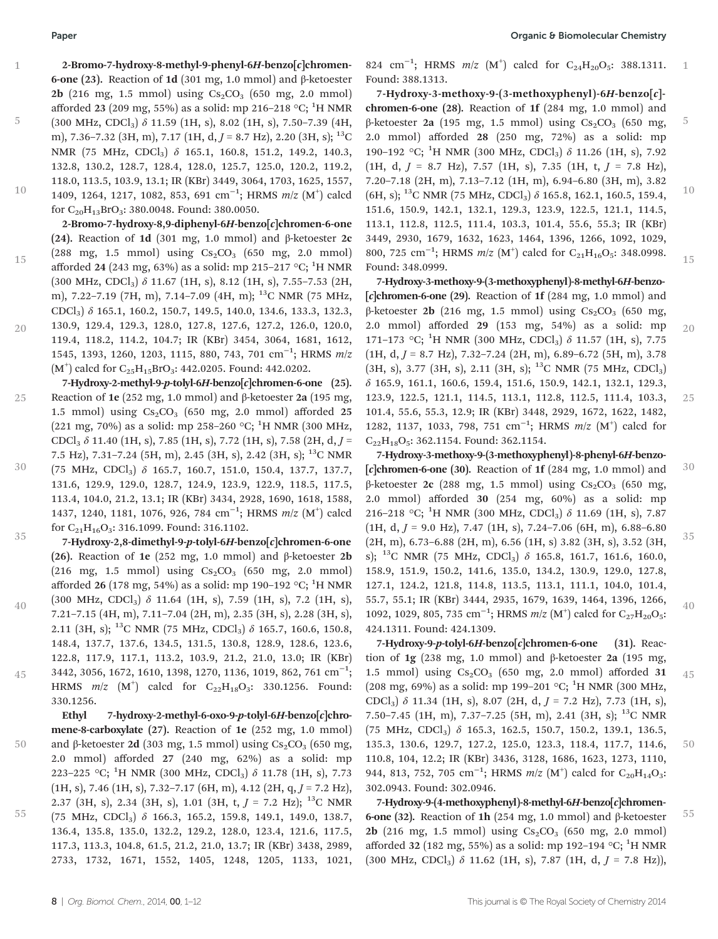5

10

2-Bromo-7-hydroxy-8-methyl-9-phenyl-6H-benzo[c]chromen-6-one (23). Reaction of 1d (301 mg, 1.0 mmol) and β-ketoester **2b** (216 mg, 1.5 mmol) using  $Cs_2CO_3$  (650 mg, 2.0 mmol) afforded 23 (209 mg, 55%) as a solid: mp 216–218 °C; <sup>1</sup>H NMR (300 MHz, CDCl<sub>3</sub>)  $\delta$  11.59 (1H, s), 8.02 (1H, s), 7.50-7.39 (4H, m), 7.36–7.32 (3H, m), 7.17 (1H, d,  $J = 8.7$  Hz), 2.20 (3H, s); <sup>13</sup>C NMR (75 MHz, CDCl<sub>3</sub>) δ 165.1, 160.8, 151.2, 149.2, 140.3, 132.8, 130.2, 128.7, 128.4, 128.0, 125.7, 125.0, 120.2, 119.2, 118.0, 113.5, 103.9, 13.1; IR (KBr) 3449, 3064, 1703, 1625, 1557, 1409, 1264, 1217, 1082, 853, 691 cm<sup>-1</sup>; HRMS m/z (M<sup>+</sup>) calcd for  $C_{20}H_{13}BrO_3$ : 380.0048. Found: 380.0050.

2-Bromo-7-hydroxy-8,9-diphenyl-6H-benzo[c]chromen-6-one (24). Reaction of 1d (301 mg, 1.0 mmol) and β-ketoester 2c  $(288 \text{ mg}, 1.5 \text{ mmol})$  using  $Cs_2CO_3$  (650 mg, 2.0 mmol) afforded 24 (243 mg, 63%) as a solid: mp 215–217 °C;  $^1\rm H$  NMR  $(300 \text{ MHz}, \text{CDCl}_3)$   $\delta$  11.67 (1H, s), 8.12 (1H, s), 7.55-7.53 (2H, m), 7.22–7.19 (7H, m), 7.14–7.09 (4H, m); 13C NMR (75 MHz, CDCl3) δ 165.1, 160.2, 150.7, 149.5, 140.0, 134.6, 133.3, 132.3, 130.9, 129.4, 129.3, 128.0, 127.8, 127.6, 127.2, 126.0, 120.0, 15

119.4, 118.2, 114.2, 104.7; IR (KBr) 3454, 3064, 1681, 1612, 1545, 1393, 1260, 1203, 1115, 880, 743, 701 cm<sup>-1</sup>; HRMS m/z  $(M<sup>+</sup>)$  calcd for C<sub>25</sub>H<sub>15</sub>BrO<sub>3</sub>: 442.0205. Found: 442.0202. 20

7-Hydroxy-2-methyl-9-p-tolyl-6H-benzo[c]chromen-6-one (25). Reaction of 1e (252 mg, 1.0 mmol) and β-ketoester 2a (195 mg, 1.5 mmol) using  $Cs_2CO_3$  (650 mg, 2.0 mmol) afforded 25 (221 mg, 70%) as a solid: mp 258–260 °C; <sup>1</sup>H NMR (300 MHz, CDCl<sub>3</sub>  $\delta$  11.40 (1H, s), 7.85 (1H, s), 7.72 (1H, s), 7.58 (2H, d, J = 7.5 Hz), 7.31–7.24 (5H, m), 2.45 (3H, s), 2.42 (3H, s); 13C NMR 25

(75 MHz, CDCl3) δ 165.7, 160.7, 151.0, 150.4, 137.7, 137.7, 131.6, 129.9, 129.0, 128.7, 124.9, 123.9, 122.9, 118.5, 117.5, 113.4, 104.0, 21.2, 13.1; IR (KBr) 3434, 2928, 1690, 1618, 1588, 1437, 1240, 1181, 1076, 926, 784 cm<sup>-1</sup>; HRMS m/z (M<sup>+</sup>) calcd for C<sub>21</sub>H<sub>16</sub>O<sub>3</sub>: 316.1099. Found: 316.1102. 30

7-Hydroxy-2,8-dimethyl-9-p-tolyl-6H-benzo[c]chromen-6-one (26). Reaction of 1e (252 mg, 1.0 mmol) and β-ketoester 2b  $(216 \text{ mg}, 1.5 \text{ mmol})$  using  $Cs_2CO_3$  (650 mg, 2.0 mmol) afforded 26 (178 mg, 54%) as a solid: mp 190–192 °C;  $^1\rm H$  NMR (300 MHz, CDCl<sub>3</sub>)  $\delta$  11.64 (1H, s), 7.59 (1H, s), 7.2 (1H, s), 7.21–7.15 (4H, m), 7.11–7.04 (2H, m), 2.35 (3H, s), 2.28 (3H, s), 2.11 (3H, s); <sup>13</sup>C NMR (75 MHz, CDCl<sub>3</sub>)  $\delta$  165.7, 160.6, 150.8, 148.4, 137.7, 137.6, 134.5, 131.5, 130.8, 128.9, 128.6, 123.6, 122.8, 117.9, 117.1, 113.2, 103.9, 21.2, 21.0, 13.0; IR (KBr) 3442, 3056, 1672, 1610, 1398, 1270, 1136, 1019, 862, 761 cm<sup>-1</sup>; HRMS  $m/z$   $(M^{\dagger})$  calcd for  $C_{22}H_{18}O_3$ : 330.1256. Found: 35 40 45

330.1256. Ethyl 7-hydroxy-2-methyl-6-oxo-9-p-tolyl-6H-benzo[c]chromene-8-carboxylate (27). Reaction of 1e (252 mg, 1.0 mmol) and β-ketoester 2d (303 mg, 1.5 mmol) using  $Cs<sub>2</sub>CO<sub>3</sub>$  (650 mg, 2.0 mmol) afforded 27 (240 mg, 62%) as a solid: mp 223–225 °C; <sup>1</sup>H NMR (300 MHz, CDCl<sub>3</sub>)  $\delta$  11.78 (1H, s), 7.73  $(1H, s)$ , 7.46  $(1H, s)$ , 7.32-7.17  $(6H, m)$ , 4.12  $(2H, q, J = 7.2 Hz)$ , 2.37 (3H, s), 2.34 (3H, s), 1.01 (3H, t,  $J = 7.2$  Hz); <sup>13</sup>C NMR (75 MHz, CDCl3) δ 166.3, 165.2, 159.8, 149.1, 149.0, 138.7, 136.4, 135.8, 135.0, 132.2, 129.2, 128.0, 123.4, 121.6, 117.5, 117.3, 113.3, 104.8, 61.5, 21.2, 21.0, 13.7; IR (KBr) 3438, 2989, 2733, 1732, 1671, 1552, 1405, 1248, 1205, 1133, 1021, 50 55

824 cm<sup>-1</sup>; HRMS m/z (M<sup>+</sup>) calcd for C<sub>24</sub>H<sub>20</sub>O<sub>5</sub>: 388.1311. Found: 388.1313. 1

7-Hydroxy-3-methoxy-9-(3-methoxyphenyl)-6H-benzo[c] chromen-6-one (28). Reaction of 1f (284 mg, 1.0 mmol) and β-ketoester 2a (195 mg, 1.5 mmol) using  $Cs_2CO_3$  (650 mg, 2.0 mmol) afforded 28 (250 mg, 72%) as a solid: mp 190-192 °C; <sup>1</sup>H NMR (300 MHz, CDCl<sub>3</sub>) δ 11.26 (1H, s), 7.92  $(1H, d, J = 8.7 \text{ Hz})$ , 7.57  $(1H, s)$ , 7.35  $(1H, t, J = 7.8 \text{ Hz})$ , 7.20–7.18 (2H, m), 7.13–7.12 (1H, m), 6.94–6.80 (3H, m), 3.82  $(6H, s)$ ; <sup>13</sup>C NMR (75 MHz, CDCl<sub>3</sub>)  $\delta$  165.8, 162.1, 160.5, 159.4, 151.6, 150.9, 142.1, 132.1, 129.3, 123.9, 122.5, 121.1, 114.5, 113.1, 112.8, 112.5, 111.4, 103.3, 101.4, 55.6, 55.3; IR (KBr) 3449, 2930, 1679, 1632, 1623, 1464, 1396, 1266, 1092, 1029, 800, 725 cm<sup>-1</sup>; HRMS m/z (M<sup>+</sup>) calcd for C<sub>21</sub>H<sub>16</sub>O<sub>5</sub>: 348.0998. Found: 348.0999. 5 10 15

7-Hydroxy-3-methoxy-9-(3-methoxyphenyl)-8-methyl-6H-benzo-  $[c]$ chromen-6-one (29). Reaction of 1f (284 mg, 1.0 mmol) and β-ketoester 2b (216 mg, 1.5 mmol) using  $Cs<sub>2</sub>CO<sub>3</sub>$  (650 mg, 2.0 mmol) afforded 29 (153 mg, 54%) as a solid: mp 171-173 °C; <sup>1</sup>H NMR (300 MHz, CDCl<sub>3</sub>) δ 11.57 (1H, s), 7.75  $(1H, d, J = 8.7 \text{ Hz})$ , 7.32–7.24  $(2H, m)$ , 6.89–6.72  $(5H, m)$ , 3.78  $(3H, s)$ , 3.77  $(3H, s)$ , 2.11  $(3H, s)$ ; <sup>13</sup>C NMR  $(75 \text{ MHz}, \text{CDCl}_3)$ δ 165.9, 161.1, 160.6, 159.4, 151.6, 150.9, 142.1, 132.1, 129.3, 123.9, 122.5, 121.1, 114.5, 113.1, 112.8, 112.5, 111.4, 103.3, 101.4, 55.6, 55.3, 12.9; IR (KBr) 3448, 2929, 1672, 1622, 1482, 1282, 1137, 1033, 798, 751 cm<sup>-1</sup>; HRMS m/z (M<sup>+</sup>) calcd for  $C_{22}H_{18}O_5$ : 362.1154. Found: 362.1154. 20 25

7-Hydroxy-3-methoxy-9-(3-methoxyphenyl)-8-phenyl-6H-benzo-  $[c]$ chromen-6-one (30). Reaction of 1f (284 mg, 1.0 mmol) and β-ketoester 2c (288 mg, 1.5 mmol) using  $Cs<sub>2</sub>CO<sub>3</sub>$  (650 mg, 2.0 mmol) afforded 30 (254 mg, 60%) as a solid: mp 216–218 °C; <sup>1</sup>H NMR (300 MHz, CDCl<sub>3</sub>)  $\delta$  11.69 (1H, s), 7.87  $(1H, d, J = 9.0 Hz), 7.47 (1H, s), 7.24-7.06 (6H, m), 6.88-6.80$ (2H, m), 6.73–6.88 (2H, m), 6.56 (1H, s) 3.82 (3H, s), 3.52 (3H, s); <sup>13</sup>C NMR (75 MHz, CDCl<sub>3</sub>)  $\delta$  165.8, 161.7, 161.6, 160.0, 158.9, 151.9, 150.2, 141.6, 135.0, 134.2, 130.9, 129.0, 127.8, 127.1, 124.2, 121.8, 114.8, 113.5, 113.1, 111.1, 104.0, 101.4, 55.7, 55.1; IR (KBr) 3444, 2935, 1679, 1639, 1464, 1396, 1266, 1092, 1029, 805, 735 cm<sup>-1</sup>; HRMS  $m/z$  (M<sup>+</sup>) calcd for C<sub>27</sub>H<sub>20</sub>O<sub>5</sub>: 424.1311. Found: 424.1309. 30 35 40

7-Hydroxy-9-p-tolyl-6H-benzo[c]chromen-6-one (31). Reaction of 1g (238 mg, 1.0 mmol) and β-ketoester 2a (195 mg, 1.5 mmol) using  $Cs_2CO_3$  (650 mg, 2.0 mmol) afforded 31 (208 mg, 69%) as a solid: mp 199-201 °C; <sup>1</sup>H NMR (300 MHz, CDCl<sub>3</sub>)  $\delta$  11.34 (1H, s), 8.07 (2H, d,  $J = 7.2$  Hz), 7.73 (1H, s), 7.50–7.45 (1H, m), 7.37–7.25 (5H, m), 2.41 (3H, s); 13C NMR (75 MHz, CDCl3) δ 165.3, 162.5, 150.7, 150.2, 139.1, 136.5, 135.3, 130.6, 129.7, 127.2, 125.0, 123.3, 118.4, 117.7, 114.6, 110.8, 104, 12.2; IR (KBr) 3436, 3128, 1686, 1623, 1273, 1110, 944, 813, 752, 705 cm<sup>-1</sup>; HRMS  $m/z$  (M<sup>+</sup>) calcd for C<sub>20</sub>H<sub>14</sub>O<sub>3</sub>: 302.0943. Found: 302.0946. 45 50

7-Hydroxy-9-(4-methoxyphenyl)-8-methyl-6H-benzo[c]chromen-6-one (32). Reaction of 1h (254 mg, 1.0 mmol) and β-ketoester **2b** (216 mg, 1.5 mmol) using  $Cs_2CO_3$  (650 mg, 2.0 mmol) afforded 32 (182 mg, 55%) as a solid: mp 192-194 °C;  $^{1}$ H NMR  $(300 \text{ MHz}, \text{CDCl}_3)$   $\delta$  11.62 (1H, s), 7.87 (1H, d,  $J = 7.8 \text{ Hz}$ )), 55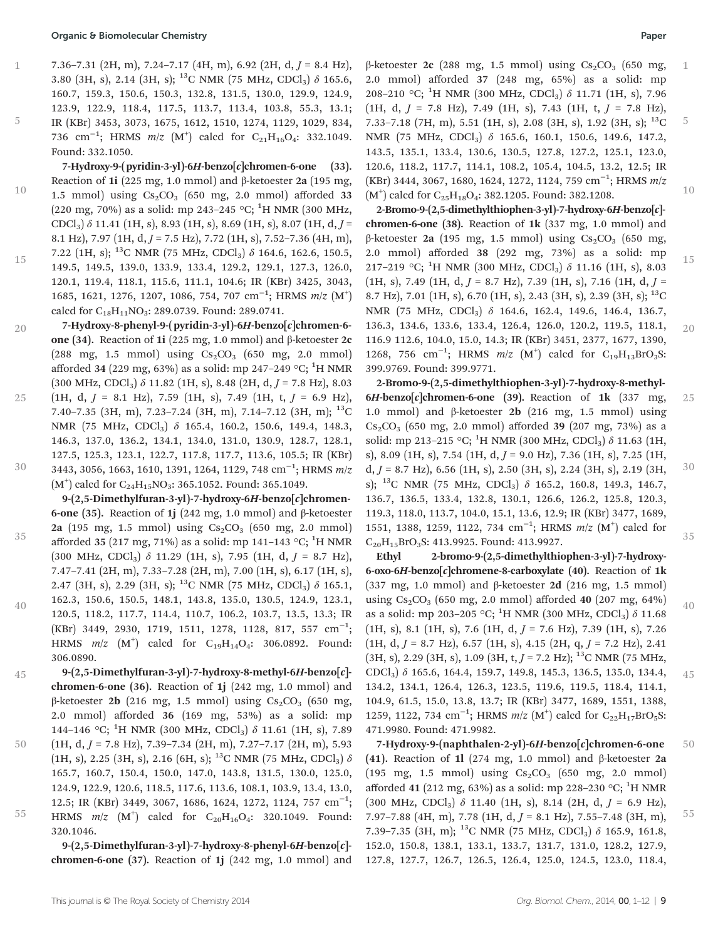5

7.36–7.31 (2H, m), 7.24–7.17 (4H, m), 6.92 (2H, d,  $J = 8.4$  Hz), 3.80 (3H, s), 2.14 (3H, s); <sup>13</sup>C NMR (75 MHz, CDCl<sub>3</sub>)  $\delta$  165.6, 160.7, 159.3, 150.6, 150.3, 132.8, 131.5, 130.0, 129.9, 124.9, 123.9, 122.9, 118.4, 117.5, 113.7, 113.4, 103.8, 55.3, 13.1; IR (KBr) 3453, 3073, 1675, 1612, 1510, 1274, 1129, 1029, 834, 736 cm<sup>-1</sup>; HRMS *m*/z (M<sup>+</sup>) calcd for C<sub>21</sub>H<sub>16</sub>O<sub>4</sub>: 332.1049. Found: 332.1050.

7-Hydroxy-9-(pyridin-3-yl)-6H-benzo[c]chromen-6-one (33). Reaction of 1i (225 mg, 1.0 mmol) and β-ketoester 2a (195 mg, 1.5 mmol) using  $Cs_2CO_3$  (650 mg, 2.0 mmol) afforded 33 (220 mg, 70%) as a solid: mp 243-245 °C; <sup>1</sup>H NMR (300 MHz, CDCl<sub>3</sub>)  $\delta$  11.41 (1H, s), 8.93 (1H, s), 8.69 (1H, s), 8.07 (1H, d, J = 8.1 Hz), 7.97 (1H,  $d, J = 7.5$  Hz), 7.72 (1H, s), 7.52–7.36 (4H, m), 7.22 (1H, s); <sup>13</sup>C NMR (75 MHz, CDCl<sub>3</sub>)  $\delta$  164.6, 162.6, 150.5, 149.5, 149.5, 139.0, 133.9, 133.4, 129.2, 129.1, 127.3, 126.0, 120.1, 119.4, 118.1, 115.6, 111.1, 104.6; IR (KBr) 3425, 3043, 1685, 1621, 1276, 1207, 1086, 754, 707 cm<sup>-1</sup>; HRMS  $m/z$   $(M<sup>+</sup>)$ calcd for C<sub>18</sub>H<sub>11</sub>NO<sub>3</sub>: 289.0739. Found: 289.0741. 10 15

7-Hydroxy-8-phenyl-9-( pyridin-3-yl)-6H-benzo[c]chromen-6 one (34). Reaction of 1i (225 mg, 1.0 mmol) and β-ketoester 2c  $(288 \text{ mg}, 1.5 \text{ mmol})$  using  $Cs_2CO_3$  (650 mg, 2.0 mmol) afforded 34 (229 mg, 63%) as a solid: mp 247–249 °C; <sup>1</sup>H NMR  $(300 \text{ MHz}, \text{CDCl}_3)$   $\delta$  11.82 (1H, s), 8.48 (2H, d, J = 7.8 Hz), 8.03  $(1H, d, J = 8.1 \text{ Hz})$ , 7.59  $(1H, s)$ , 7.49  $(1H, t, J = 6.9 \text{ Hz})$ , 7.40–7.35 (3H, m), 7.23–7.24 (3H, m), 7.14–7.12 (3H, m);  $^{13}$ C NMR (75 MHz, CDCl3) δ 165.4, 160.2, 150.6, 149.4, 148.3, 146.3, 137.0, 136.2, 134.1, 134.0, 131.0, 130.9, 128.7, 128.1, 127.5, 125.3, 123.1, 122.7, 117.8, 117.7, 113.6, 105.5; IR (KBr) 3443, 3056, 1663, 1610, 1391, 1264, 1129, 748 cm<sup>-1</sup>; HRMS *m∣*z 20 25 30

 $(M<sup>+</sup>)$  calcd for C<sub>24</sub>H<sub>15</sub>NO<sub>3</sub>: 365.1052. Found: 365.1049. 9-(2,5-Dimethylfuran-3-yl)-7-hydroxy-6H-benzo[c]chromen-6-one (35). Reaction of 1j (242 mg, 1.0 mmol) and β-ketoester 2a (195 mg, 1.5 mmol) using  $Cs_2CO_3$  (650 mg, 2.0 mmol) afforded 35 (217 mg, 71%) as a solid: mp 141–143 °C;  $^1\rm H$  NMR (300 MHz, CDCl<sub>3</sub>)  $\delta$  11.29 (1H, s), 7.95 (1H, d,  $J = 8.7$  Hz), 7.47–7.41 (2H, m), 7.33–7.28 (2H, m), 7.00 (1H, s), 6.17 (1H, s), 2.47 (3H, s), 2.29 (3H, s); <sup>13</sup>C NMR (75 MHz, CDCl<sub>3</sub>)  $\delta$  165.1, 162.3, 150.6, 150.5, 148.1, 143.8, 135.0, 130.5, 124.9, 123.1, 120.5, 118.2, 117.7, 114.4, 110.7, 106.2, 103.7, 13.5, 13.3; IR (KBr) 3449, 2930, 1719, 1511, 1278, 1128, 817, 557 cm−<sup>1</sup> ; HRMS  $m/z$   $(M<sup>+</sup>)$  calcd for  $C_{19}H_{14}O_4$ : 306.0892. Found: 306.0890. 35 40

- 9-(2,5-Dimethylfuran-3-yl)-7-hydroxy-8-methyl-6H-benzo[c] chromen-6-one (36). Reaction of 1j (242 mg, 1.0 mmol) and β-ketoester 2**b** (216 mg, 1.5 mmol) using  $Cs<sub>2</sub>CO<sub>3</sub>$  (650 mg, 2.0 mmol) afforded 36 (169 mg, 53%) as a solid: mp 144–146 °C;  $^{1}$ H NMR (300 MHz, CDCl<sub>3</sub>)  $\delta$  11.61 (1H, s), 7.89 45
- $(1H, d, J = 7.8 \text{ Hz})$ , 7.39-7.34  $(2H, m)$ , 7.27-7.17  $(2H, m)$ , 5.93 (1H, s), 2.25 (3H, s), 2.16 (6H, s); <sup>13</sup>C NMR (75 MHz, CDCl<sub>3</sub>)  $\delta$ 165.7, 160.7, 150.4, 150.0, 147.0, 143.8, 131.5, 130.0, 125.0, 124.9, 122.9, 120.6, 118.5, 117.6, 113.6, 108.1, 103.9, 13.4, 13.0, 12.5; IR (KBr) 3449, 3067, 1686, 1624, 1272, 1124, 757 cm<sup>-1</sup>; HRMS  $m/z$   $(M^{\dagger})$  calcd for  $C_{20}H_{16}O_4$ : 320.1049. Found: 320.1046. 50 55
- 

9-(2,5-Dimethylfuran-3-yl)-7-hydroxy-8-phenyl-6H-benzo[c] chromen-6-one (37). Reaction of 1j (242 mg, 1.0 mmol) and β-ketoester 2c (288 mg, 1.5 mmol) using  $Cs_2CO_3$  (650 mg, 2.0 mmol) afforded 37 (248 mg, 65%) as a solid: mp 208–210 °C; <sup>1</sup>H NMR (300 MHz, CDCl<sub>3</sub>)  $\delta$  11.71 (1H, s), 7.96  $(1H, d, J = 7.8 Hz)$ , 7.49  $(1H, s)$ , 7.43  $(1H, t, J = 7.8 Hz)$ , 7.33–7.18 (7H, m), 5.51 (1H, s), 2.08 (3H, s), 1.92 (3H, s); 13C NMR (75 MHz, CDCl<sub>3</sub>) δ 165.6, 160.1, 150.6, 149.6, 147.2, 143.5, 135.1, 133.4, 130.6, 130.5, 127.8, 127.2, 125.1, 123.0, 120.6, 118.2, 117.7, 114.1, 108.2, 105.4, 104.5, 13.2, 12.5; IR (KBr) 3444, 3067, 1680, 1624, 1272, 1124, 759 cm−<sup>1</sup> ; HRMS m/z  $(M<sup>+</sup>)$  calcd for C<sub>25</sub>H<sub>18</sub>O<sub>4</sub>: 382.1205. Found: 382.1208. 1 5 10

2-Bromo-9-(2,5-dimethylthiophen-3-yl)-7-hydroxy-6H-benzo[c] chromen-6-one (38). Reaction of 1k (337 mg, 1.0 mmol) and β-ketoester 2a (195 mg, 1.5 mmol) using  $Cs<sub>2</sub>CO<sub>3</sub>$  (650 mg, 2.0 mmol) afforded 38 (292 mg, 73%) as a solid: mp 217-219 °C; <sup>1</sup>H NMR (300 MHz, CDCl<sub>3</sub>)  $\delta$  11.16 (1H, s), 8.03  $(1H, s)$ , 7.49  $(1H, d, J = 8.7 Hz)$ , 7.39  $(1H, s)$ , 7.16  $(1H, d, J =$ 8.7 Hz), 7.01 (1H, s), 6.70 (1H, s), 2.43 (3H, s), 2.39 (3H, s); <sup>13</sup>C NMR (75 MHz, CDCl3) δ 164.6, 162.4, 149.6, 146.4, 136.7, 136.3, 134.6, 133.6, 133.4, 126.4, 126.0, 120.2, 119.5, 118.1, 116.9 112.6, 104.0, 15.0, 14.3; IR (KBr) 3451, 2377, 1677, 1390, 1268, 756 cm<sup>-1</sup>; HRMS  $m/z$  (M<sup>+</sup>) calcd for C<sub>19</sub>H<sub>13</sub>BrO<sub>3</sub>S: 399.9769. Found: 399.9771. 15 20

2-Bromo-9-(2,5-dimethylthiophen-3-yl)-7-hydroxy-8-methyl- $6H$ -benzo[c]chromen-6-one (39). Reaction of 1k (337 mg, 1.0 mmol) and β-ketoester 2**b** (216 mg, 1.5 mmol) using  $Cs_2CO_3$  (650 mg, 2.0 mmol) afforded 39 (207 mg, 73%) as a solid: mp 213–215 °C; <sup>1</sup>H NMR (300 MHz, CDCl<sub>3</sub>)  $\delta$  11.63 (1H, s), 8.09 (1H, s), 7.54 (1H, d,  $J = 9.0$  Hz), 7.36 (1H, s), 7.25 (1H,  $d, J = 8.7$  Hz), 6.56 (1H, s), 2.50 (3H, s), 2.24 (3H, s), 2.19 (3H, s); <sup>13</sup>C NMR (75 MHz, CDCl<sub>3</sub>)  $\delta$  165.2, 160.8, 149.3, 146.7, 136.7, 136.5, 133.4, 132.8, 130.1, 126.6, 126.2, 125.8, 120.3, 119.3, 118.0, 113.7, 104.0, 15.1, 13.6, 12.9; IR (KBr) 3477, 1689, 1551, 1388, 1259, 1122, 734 cm<sup>-1</sup>; HRMS m/z (M<sup>+</sup>) calcd for C<sub>20</sub>H<sub>15</sub>BrO<sub>3</sub>S: 413.9925. Found: 413.9927. 25 30 35

Ethyl 2-bromo-9-(2,5-dimethylthiophen-3-yl)-7-hydroxy-6-oxo-6H-benzo[c]chromene-8-carboxylate (40). Reaction of 1k (337 mg, 1.0 mmol) and β-ketoester 2d (216 mg, 1.5 mmol) using  $Cs_2CO_3$  (650 mg, 2.0 mmol) afforded 40 (207 mg, 64%) as a solid: mp 203–205 °C;  $^1\text{H NMR}$  (300 MHz, CDCl3)  $\delta$  11.68  $(1H, s)$ , 8.1  $(1H, s)$ , 7.6  $(1H, d, J = 7.6 Hz)$ , 7.39  $(1H, s)$ , 7.26  $(1H, d, J = 8.7 \text{ Hz})$ , 6.57  $(1H, s)$ , 4.15  $(2H, q, J = 7.2 \text{ Hz})$ , 2.41  $(3H, s)$ , 2.29  $(3H, s)$ , 1.09  $(3H, t, J = 7.2 \text{ Hz})$ ; <sup>13</sup>C NMR (75 MHz, CDCl3) δ 165.6, 164.4, 159.7, 149.8, 145.3, 136.5, 135.0, 134.4, 134.2, 134.1, 126.4, 126.3, 123.5, 119.6, 119.5, 118.4, 114.1, 104.9, 61.5, 15.0, 13.8, 13.7; IR (KBr) 3477, 1689, 1551, 1388, 1259, 1122, 734 cm<sup>-1</sup>; HRMS  $m/z$  (M<sup>+</sup>) calcd for C<sub>22</sub>H<sub>17</sub>BrO<sub>5</sub>S: 471.9980. Found: 471.9982. 40 45

7-Hydroxy-9-(naphthalen-2-yl)-6H-benzo[c]chromen-6-one (41). Reaction of 1l (274 mg, 1.0 mmol) and β-ketoester 2a  $(195 \text{ mg}, 1.5 \text{ mmol})$  using  $Cs_2CO_3$  (650 mg, 2.0 mmol) afforded 41 (212 mg, 63%) as a solid: mp 228-230 °C; <sup>1</sup>H NMR (300 MHz, CDCl<sub>3</sub>)  $\delta$  11.40 (1H, s), 8.14 (2H, d,  $J = 6.9$  Hz), 7.97–7.88 (4H, m), 7.78 (1H, d,  $J = 8.1$  Hz), 7.55–7.48 (3H, m), 7.39–7.35 (3H, m); <sup>13</sup>C NMR (75 MHz, CDCl<sub>3</sub>)  $\delta$  165.9, 161.8, 152.0, 150.8, 138.1, 133.1, 133.7, 131.7, 131.0, 128.2, 127.9, 127.8, 127.7, 126.7, 126.5, 126.4, 125.0, 124.5, 123.0, 118.4, 50 55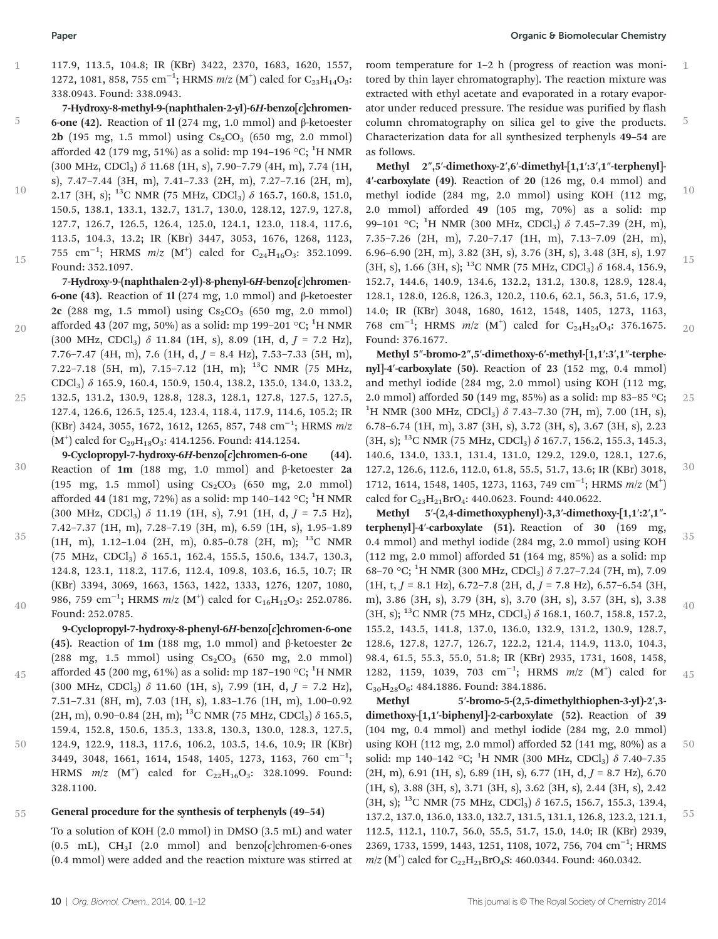20

25

45

50

117.9, 113.5, 104.8; IR (KBr) 3422, 2370, 1683, 1620, 1557, 1272, 1081, 858, 755 cm<sup>-1</sup>; HRMS m/z (M<sup>+</sup>) calcd for C<sub>23</sub>H<sub>14</sub>O<sub>3</sub>: 338.0943. Found: 338.0943.

7-Hydroxy-8-methyl-9-(naphthalen-2-yl)-6H-benzo[c]chromen-6-one (42). Reaction of 1l (274 mg, 1.0 mmol) and β-ketoester  $2b$  (195 mg, 1.5 mmol) using  $Cs_2CO_3$  (650 mg, 2.0 mmol) afforded 42 (179 mg, 51%) as a solid: mp 194–196 °C; <sup>1</sup>H NMR  $(300 \text{ MHz}, \text{CDCl}_3)$   $\delta$  11.68 (1H, s), 7.90-7.79 (4H, m), 7.74 (1H, s), 7.47–7.44 (3H, m), 7.41–7.33 (2H, m), 7.27–7.16 (2H, m), 2.17 (3H, s); <sup>13</sup>C NMR (75 MHz, CDCl<sub>3</sub>)  $\delta$  165.7, 160.8, 151.0, 150.5, 138.1, 133.1, 132.7, 131.7, 130.0, 128.12, 127.9, 127.8, 127.7, 126.7, 126.5, 126.4, 125.0, 124.1, 123.0, 118.4, 117.6, 113.5, 104.3, 13.2; IR (KBr) 3447, 3053, 1676, 1268, 1123, 755 cm<sup>-1</sup>; HRMS *m*/z (M<sup>+</sup>) calcd for C<sub>24</sub>H<sub>16</sub>O<sub>3</sub>: 352.1099. Found: 352.1097. 5 10 15

7-Hydroxy-9-(naphthalen-2-yl)-8-phenyl-6H-benzo[c]chromen-6-one (43). Reaction of 1l (274 mg, 1.0 mmol) and β-ketoester 2c (288 mg, 1.5 mmol) using  $Cs_2CO_3$  (650 mg, 2.0 mmol) afforded 43 (207 mg, 50%) as a solid: mp 199–201 °C;  $^1\mathrm{H}$  NMR (300 MHz, CDCl<sub>3</sub>)  $\delta$  11.84 (1H, s), 8.09 (1H, d,  $J = 7.2$  Hz), 7.76–7.47 (4H, m), 7.6 (1H, d,  $J = 8.4$  Hz), 7.53–7.33 (5H, m), 7.22–7.18 (5H, m), 7.15–7.12 (1H, m); 13C NMR (75 MHz, CDCl3) δ 165.9, 160.4, 150.9, 150.4, 138.2, 135.0, 134.0, 133.2, 132.5, 131.2, 130.9, 128.8, 128.3, 128.1, 127.8, 127.5, 127.5, 127.4, 126.6, 126.5, 125.4, 123.4, 118.4, 117.9, 114.6, 105.2; IR (KBr) 3424, 3055, 1672, 1612, 1265, 857, 748 cm−<sup>1</sup> ; HRMS m/z  $(M<sup>+</sup>)$  calcd for C<sub>29</sub>H<sub>18</sub>O<sub>3</sub>: 414.1256. Found: 414.1254.

- 9-Cyclopropyl-7-hydroxy-6H-benzo $[c]$ chromen-6-one (44). Reaction of 1m (188 mg, 1.0 mmol) and β-ketoester 2a  $(195 \text{ mg}, 1.5 \text{ mmol})$  using  $Cs_2CO_3$  (650 mg, 2.0 mmol) afforded 44 (181 mg, 72%) as a solid: mp 140–142 °C;  $^1\rm H$  NMR  $(300 \text{ MHz}, \text{CDCl}_3)$   $\delta$  11.19 (1H, s), 7.91 (1H, d,  $J = 7.5 \text{ Hz}$ ), 7.42–7.37 (1H, m), 7.28–7.19 (3H, m), 6.59 (1H, s), 1.95–1.89 30
- (1H, m), 1.12–1.04 (2H, m), 0.85–0.78 (2H, m); 13C NMR (75 MHz, CDCl<sub>3</sub>)  $\delta$  165.1, 162.4, 155.5, 150.6, 134.7, 130.3, 124.8, 123.1, 118.2, 117.6, 112.4, 109.8, 103.6, 16.5, 10.7; IR (KBr) 3394, 3069, 1663, 1563, 1422, 1333, 1276, 1207, 1080, 986, 759  $\rm cm^{-1}$ ; HRMS  $m/z$   $\rm (M^{+})$  calcd for  $\rm C_{16}H_{12}O_3$ : 252.0786. Found: 252.0785. 35 40

9-Cyclopropyl-7-hydroxy-8-phenyl-6H-benzo[c]chromen-6-one (45). Reaction of 1m (188 mg, 1.0 mmol) and β-ketoester 2c  $(288 \text{ mg}, 1.5 \text{ mmol})$  using  $Cs_2CO_3$  (650 mg, 2.0 mmol) afforded 45 (200 mg, 61%) as a solid: mp 187–190 °C;  $^1\rm H$  NMR (300 MHz, CDCl<sub>3</sub>)  $\delta$  11.60 (1H, s), 7.99 (1H, d, J = 7.2 Hz), 7.51–7.31 (8H, m), 7.03 (1H, s), 1.83–1.76 (1H, m), 1.00–0.92 (2H, m), 0.90–0.84 (2H, m); <sup>13</sup>C NMR (75 MHz, CDCl<sub>3</sub>)  $\delta$  165.5, 159.4, 152.8, 150.6, 135.3, 133.8, 130.3, 130.0, 128.3, 127.5, 124.9, 122.9, 118.3, 117.6, 106.2, 103.5, 14.6, 10.9; IR (KBr) 3449, 3048, 1661, 1614, 1548, 1405, 1273, 1163, 760 cm<sup>-1</sup>; HRMS  $m/z$   $(M^{\dagger})$  calcd for  $C_{22}H_{16}O_3$ : 328.1099. Found: 328.1100.

### General procedure for the synthesis of terphenyls (49–54) 55

To a solution of KOH (2.0 mmol) in DMSO (3.5 mL) and water  $(0.5 \text{ mL})$ , CH<sub>3</sub>I (2.0 mmol) and benzo[c]chromen-6-ones (0.4 mmol) were added and the reaction mixture was stirred at

room temperature for 1–2 h (progress of reaction was monitored by thin layer chromatography). The reaction mixture was extracted with ethyl acetate and evaporated in a rotary evaporator under reduced pressure. The residue was purified by flash column chromatography on silica gel to give the products. Characterization data for all synthesized terphenyls 49–54 are as follows. 1 5

Methyl 2″,5′-dimethoxy-2′,6′-dimethyl-[1,1′:3′,1″-terphenyl]- 4′-carboxylate (49). Reaction of 20 (126 mg, 0.4 mmol) and methyl iodide (284 mg, 2.0 mmol) using KOH (112 mg, 2.0 mmol) afforded 49 (105 mg, 70%) as a solid: mp 99–101 °C; <sup>1</sup>H NMR (300 MHz, CDCl<sub>3</sub>)  $\delta$  7.45–7.39 (2H, m), 7.35–7.26 (2H, m), 7.20–7.17 (1H, m), 7.13–7.09 (2H, m), 6.96–6.90 (2H, m), 3.82 (3H, s), 3.76 (3H, s), 3.48 (3H, s), 1.97 (3H, s), 1.66 (3H, s); <sup>13</sup>C NMR (75 MHz, CDCl<sub>3</sub>)  $\delta$  168.4, 156.9, 152.7, 144.6, 140.9, 134.6, 132.2, 131.2, 130.8, 128.9, 128.4, 128.1, 128.0, 126.8, 126.3, 120.2, 110.6, 62.1, 56.3, 51.6, 17.9, 14.0; IR (KBr) 3048, 1680, 1612, 1548, 1405, 1273, 1163, 768 cm<sup>-1</sup>; HRMS  $m/z$  (M<sup>+</sup>) calcd for C<sub>24</sub>H<sub>24</sub>O<sub>4</sub>: 376.1675. Found: 376.1677. 10 15 20

Methyl 5″-bromo-2″,5′-dimethoxy-6′-methyl-[1,1′:3′,1″-terphenyl]-4′-carboxylate (50). Reaction of 23 (152 mg, 0.4 mmol) and methyl iodide (284 mg, 2.0 mmol) using KOH (112 mg, 2.0 mmol) afforded 50 (149 mg, 85%) as a solid: mp 83-85 °C; <sup>1</sup>H NMR (300 MHz, CDCl<sub>3</sub>)  $\delta$  7.43-7.30 (7H, m), 7.00 (1H, s), 6.78–6.74 (1H, m), 3.87 (3H, s), 3.72 (3H, s), 3.67 (3H, s), 2.23  $(3H, s)$ ; <sup>13</sup>C NMR (75 MHz, CDCl<sub>3</sub>)  $\delta$  167.7, 156.2, 155.3, 145.3, 140.6, 134.0, 133.1, 131.4, 131.0, 129.2, 129.0, 128.1, 127.6, 127.2, 126.6, 112.6, 112.0, 61.8, 55.5, 51.7, 13.6; IR (KBr) 3018, 1712, 1614, 1548, 1405, 1273, 1163, 749 cm<sup>-1</sup>; HRMS  $m/z$  (M<sup>+</sup>) calcd for C<sub>23</sub>H<sub>21</sub>BrO<sub>4</sub>: 440.0623. Found: 440.0622. 25 30

Methyl 5′-(2,4-dimethoxyphenyl)-3,3′-dimethoxy-[1,1′:2′,1″ terphenyl]-4′-carboxylate (51). Reaction of 30 (169 mg, 0.4 mmol) and methyl iodide (284 mg, 2.0 mmol) using KOH (112 mg, 2.0 mmol) afforded 51 (164 mg, 85%) as a solid: mp 68-70 °C; <sup>1</sup>H NMR (300 MHz, CDCl<sub>3</sub>) δ 7.27-7.24 (7H, m), 7.09  $(1H, t, J = 8.1 \text{ Hz})$ , 6.72–7.8  $(2H, d, J = 7.8 \text{ Hz})$ , 6.57–6.54  $(3H,$ m), 3.86 (3H, s), 3.79 (3H, s), 3.70 (3H, s), 3.57 (3H, s), 3.38  $(3H, s);$  <sup>13</sup>C NMR (75 MHz, CDCl<sub>3</sub>)  $\delta$  168.1, 160.7, 158.8, 157.2, 155.2, 143.5, 141.8, 137.0, 136.0, 132.9, 131.2, 130.9, 128.7, 128.6, 127.8, 127.7, 126.7, 122.2, 121.4, 114.9, 113.0, 104.3, 98.4, 61.5, 55.3, 55.0, 51.8; IR (KBr) 2935, 1731, 1608, 1458, 1282, 1159, 1039, 703 cm<sup>-1</sup>; HRMS m/z (M<sup>+</sup>) calcd for C<sub>30</sub>H<sub>28</sub>O<sub>6</sub>: 484.1886. Found: 384.1886. 35 40 45

Methyl 5′-bromo-5-(2,5-dimethylthiophen-3-yl)-2′,3dimethoxy-[1,1′-biphenyl]-2-carboxylate (52). Reaction of 39 (104 mg, 0.4 mmol) and methyl iodide (284 mg, 2.0 mmol) using KOH (112 mg, 2.0 mmol) afforded 52 (141 mg, 80%) as a solid: mp 140-142 °C; <sup>1</sup>H NMR (300 MHz, CDCl<sub>3</sub>)  $\delta$  7.40-7.35  $(2H, m)$ , 6.91 (1H, s), 6.89 (1H, s), 6.77 (1H, d,  $J = 8.7$  Hz), 6.70 (1H, s), 3.88 (3H, s), 3.71 (3H, s), 3.62 (3H, s), 2.44 (3H, s), 2.42  $(3H, s)$ ; <sup>13</sup>C NMR (75 MHz, CDCl<sub>3</sub>)  $\delta$  167.5, 156.7, 155.3, 139.4, 137.2, 137.0, 136.0, 133.0, 132.7, 131.5, 131.1, 126.8, 123.2, 121.1, 112.5, 112.1, 110.7, 56.0, 55.5, 51.7, 15.0, 14.0; IR (KBr) 2939, 2369, 1733, 1599, 1443, 1251, 1108, 1072, 756, 704 cm<sup>-1</sup>; HRMS  $m/z$  (M<sup>+</sup>) calcd for C<sub>22</sub>H<sub>21</sub>BrO<sub>4</sub>S: 460.0344. Found: 460.0342. 50 55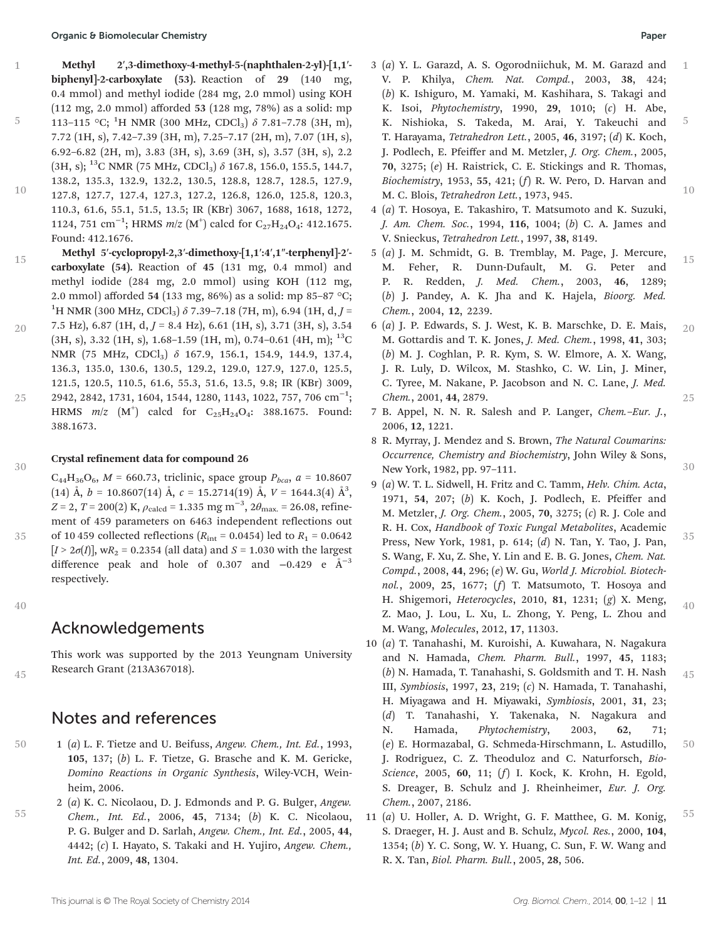Methyl 2′,3-dimethoxy-4-methyl-5-(naphthalen-2-yl)-[1,1′ biphenyl]-2-carboxylate (53). Reaction of 29 (140 mg, 0.4 mmol) and methyl iodide (284 mg, 2.0 mmol) using KOH (112 mg, 2.0 mmol) afforded 53 (128 mg, 78%) as a solid: mp 113–115 °C; <sup>1</sup>H NMR (300 MHz, CDCl<sub>3</sub>)  $\delta$  7.81–7.78 (3H, m), 7.72 (1H, s), 7.42–7.39 (3H, m), 7.25–7.17 (2H, m), 7.07 (1H, s), 6.92–6.82 (2H, m), 3.83 (3H, s), 3.69 (3H, s), 3.57 (3H, s), 2.2  $(3H, s)$ ; <sup>13</sup>C NMR (75 MHz, CDCl<sub>3</sub>)  $\delta$  167.8, 156.0, 155.5, 144.7, 138.2, 135.3, 132.9, 132.2, 130.5, 128.8, 128.7, 128.5, 127.9,

- 127.8, 127.7, 127.4, 127.3, 127.2, 126.8, 126.0, 125.8, 120.3, 110.3, 61.6, 55.1, 51.5, 13.5; IR (KBr) 3067, 1688, 1618, 1272, 1124, 751 cm<sup>-1</sup>; HRMS  $m/z$  (M<sup>+</sup>) calcd for C<sub>27</sub>H<sub>24</sub>O<sub>4</sub>: 412.1675. Found: 412.1676. 10
- Methyl 5′-cyclopropyl-2,3′-dimethoxy-[1,1′:4′,1″-terphenyl]-2′ carboxylate (54). Reaction of 45 (131 mg, 0.4 mmol) and methyl iodide (284 mg, 2.0 mmol) using KOH (112 mg, 2.0 mmol) afforded 54 (133 mg, 86%) as a solid: mp 85–87 °C;  $^{1}$ H NMR (300 MHz, CDCl<sub>3</sub>)  $\delta$  7.39–7.18 (7H, m), 6.94 (1H, d, *J* = 15
- 7.5 Hz), 6.87 (1H, d,  $I = 8.4$  Hz), 6.61 (1H, s), 3.71 (3H, s), 3.54  $(3H, s)$ , 3.32 (1H, s), 1.68–1.59 (1H, m), 0.74–0.61 (4H, m); <sup>13</sup>C NMR (75 MHz, CDCl<sub>3</sub>) δ 167.9, 156.1, 154.9, 144.9, 137.4, 136.3, 135.0, 130.6, 130.5, 129.2, 129.0, 127.9, 127.0, 125.5, 121.5, 120.5, 110.5, 61.6, 55.3, 51.6, 13.5, 9.8; IR (KBr) 3009, 2942, 2842, 1731, 1604, 1544, 1280, 1143, 1022, 757, 706 cm−<sup>1</sup> ; HRMS  $m/z$   $(M<sup>+</sup>)$  calcd for  $C_{25}H_{24}O_4$ : 388.1675. Found: 388.1673. 20 25
- Crystal refinement data for compound 26 30

 $C_{44}H_{36}O_6$ ,  $M = 660.73$ , triclinic, space group  $P_{bca}$ ,  $a = 10.8607$  $(14)$  Å,  $b = 10.8607(14)$  Å,  $c = 15.2714(19)$  Å,  $V = 1644.3(4)$  Å<sup>3</sup>,  $Z = 2$ ,  $T = 200(2)$  K,  $\rho_{\rm{calcd}} = 1.335$  mg m<sup>-3</sup>,  $2\theta_{\rm{max}} = 26.08$ , refinement of 459 parameters on 6463 independent reflections out of 10 459 collected reflections ( $R_{\text{int}} = 0.0454$ ) led to  $R_1 = 0.0642$  $[I > 2\sigma(I)]$ , wR<sub>2</sub> = 0.2354 (all data) and S = 1.030 with the largest difference peak and hole of 0.307 and  $-0.429$  e  $\AA^{-3}$ respectively.

40

45

35

1

5

## Acknowledgements

This work was supported by the 2013 Yeungnam University Research Grant (213A367018).

## Notes and references

- 1 (a) L. F. Tietze and U. Beifuss, Angew. Chem., Int. Ed., 1993, 105, 137; (b) L. F. Tietze, G. Brasche and K. M. Gericke, Domino Reactions in Organic Synthesis, Wiley-VCH, Weinheim, 2006. 50
- 2 (a) K. C. Nicolaou, D. J. Edmonds and P. G. Bulger, Angew. Chem., Int. Ed., 2006, 45, 7134; (b) K. C. Nicolaou, P. G. Bulger and D. Sarlah, Angew. Chem., Int. Ed., 2005, 44, 4442; (c) I. Hayato, S. Takaki and H. Yujiro, Angew. Chem., Int. Ed., 2009, 48, 1304. 55

30

35

- 3 (a) Y. L. Garazd, A. S. Ogorodniichuk, M. M. Garazd and V. P. Khilya, Chem. Nat. Compd., 2003, 38, 424; (b) K. Ishiguro, M. Yamaki, M. Kashihara, S. Takagi and K. Isoi, Phytochemistry, 1990, 29, 1010; (c) H. Abe, K. Nishioka, S. Takeda, M. Arai, Y. Takeuchi and T. Harayama, Tetrahedron Lett., 2005, 46, 3197; (d) K. Koch, J. Podlech, E. Pfeiffer and M. Metzler, J. Org. Chem., 2005, 70, 3275; (e) H. Raistrick, C. E. Stickings and R. Thomas, Biochemistry, 1953, 55, 421;  $(f)$  R. W. Pero, D. Harvan and M. C. Blois, Tetrahedron Lett., 1973, 945. 1 5 10
- 4 (a) T. Hosoya, E. Takashiro, T. Matsumoto and K. Suzuki, J. Am. Chem. Soc., 1994, 116, 1004; (b) C. A. James and V. Snieckus, Tetrahedron Lett., 1997, 38, 8149.
- 5 (a) J. M. Schmidt, G. B. Tremblay, M. Page, J. Mercure, M. Feher, R. Dunn-Dufault, M. G. Peter and P. R. Redden, J. Med. Chem., 2003, 46, 1289; (b) J. Pandey, A. K. Jha and K. Hajela, Bioorg. Med. Chem., 2004, 12, 2239. 15
- 6 (a) J. P. Edwards, S. J. West, K. B. Marschke, D. E. Mais, M. Gottardis and T. K. Jones, J. Med. Chem., 1998, 41, 303; (b) M. J. Coghlan, P. R. Kym, S. W. Elmore, A. X. Wang, J. R. Luly, D. Wilcox, M. Stashko, C. W. Lin, J. Miner, C. Tyree, M. Nakane, P. Jacobson and N. C. Lane, J. Med. Chem., 2001, 44, 2879. 20 25
- 7 B. Appel, N. N. R. Salesh and P. Langer, Chem.–Eur. J., 2006, 12, 1221.
- 8 R. Myrray, J. Mendez and S. Brown, The Natural Coumarins: Occurrence, Chemistry and Biochemistry, John Wiley & Sons, New York, 1982, pp. 97–111.
- 9 (a) W. T. L. Sidwell, H. Fritz and C. Tamm, Helv. Chim. Acta, 1971, 54, 207; (b) K. Koch, J. Podlech, E. Pfeiffer and M. Metzler, J. Org. Chem., 2005, 70, 3275; (c) R. J. Cole and R. H. Cox, Handbook of Toxic Fungal Metabolites, Academic Press, New York, 1981, p. 614; (d) N. Tan, Y. Tao, J. Pan, S. Wang, F. Xu, Z. She, Y. Lin and E. B. G. Jones, Chem. Nat. Compd., 2008, 44, 296; (e) W. Gu, World J. Microbiol. Biotechnol., 2009, 25, 1677; (f) T. Matsumoto, T. Hosoya and H. Shigemori, Heterocycles, 2010, 81, 1231; (g) X. Meng, Z. Mao, J. Lou, L. Xu, L. Zhong, Y. Peng, L. Zhou and M. Wang, Molecules, 2012, 17, 11303.
- 10 (a) T. Tanahashi, M. Kuroishi, A. Kuwahara, N. Nagakura and N. Hamada, Chem. Pharm. Bull., 1997, 45, 1183; (b) N. Hamada, T. Tanahashi, S. Goldsmith and T. H. Nash III, Symbiosis, 1997, 23, 219; (c) N. Hamada, T. Tanahashi, H. Miyagawa and H. Miyawaki, Symbiosis, 2001, 31, 23; (d) T. Tanahashi, Y. Takenaka, N. Nagakura and N. Hamada, Phytochemistry, 2003, 62, 71; (e) E. Hormazabal, G. Schmeda-Hirschmann, L. Astudillo, J. Rodriguez, C. Z. Theoduloz and C. Naturforsch, Bio-Science, 2005, 60, 11; (f) I. Kock, K. Krohn, H. Egold, S. Dreager, B. Schulz and J. Rheinheimer, Eur. J. Org. Chem., 2007, 2186. 45 50
- 11 (a) U. Holler, A. D. Wright, G. F. Matthee, G. M. Konig, S. Draeger, H. J. Aust and B. Schulz, Mycol. Res., 2000, 104, 1354; (b) Y. C. Song, W. Y. Huang, C. Sun, F. W. Wang and R. X. Tan, Biol. Pharm. Bull., 2005, 28, 506. 55